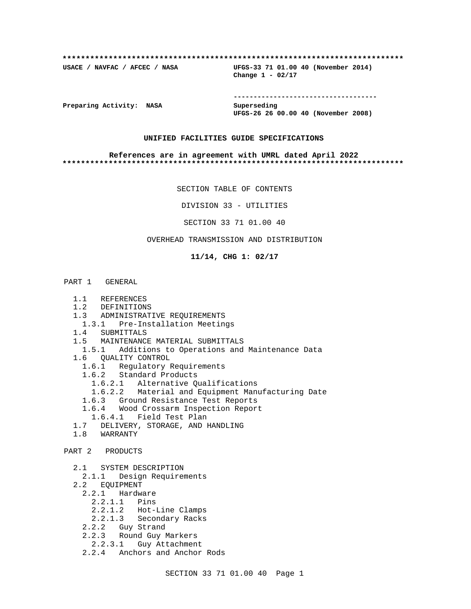#### **\*\*\*\*\*\*\*\*\*\*\*\*\*\*\*\*\*\*\*\*\*\*\*\*\*\*\*\*\*\*\*\*\*\*\*\*\*\*\*\*\*\*\*\*\*\*\*\*\*\*\*\*\*\*\*\*\*\*\*\*\*\*\*\*\*\*\*\*\*\*\*\*\*\***

**USACE / NAVFAC / AFCEC / NASA UFGS-33 71 01.00 40 (November 2014) Change 1 - 02/17**

**Preparing Activity: NASA** Superseding

**------------------------------------ UFGS-26 26 00.00 40 (November 2008)**

#### **UNIFIED FACILITIES GUIDE SPECIFICATIONS**

#### **References are in agreement with UMRL dated April 2022 \*\*\*\*\*\*\*\*\*\*\*\*\*\*\*\*\*\*\*\*\*\*\*\*\*\*\*\*\*\*\*\*\*\*\*\*\*\*\*\*\*\*\*\*\*\*\*\*\*\*\*\*\*\*\*\*\*\*\*\*\*\*\*\*\*\*\*\*\*\*\*\*\*\***

SECTION TABLE OF CONTENTS

DIVISION 33 - UTILITIES

SECTION 33 71 01.00 40

#### OVERHEAD TRANSMISSION AND DISTRIBUTION

#### **11/14, CHG 1: 02/17**

# PART 1 GENERAL

- 1.1 REFERENCES
- 1.2 DEFINITIONS
- 1.3 ADMINISTRATIVE REQUIREMENTS
- 1.3.1 Pre-Installation Meetings
- 1.4 SUBMITTALS
- 1.5 MAINTENANCE MATERIAL SUBMITTALS
- 1.5.1 Additions to Operations and Maintenance Data
- 1.6 QUALITY CONTROL
	- 1.6.1 Regulatory Requirements
	- 1.6.2 Standard Products
		- 1.6.2.1 Alternative Qualifications
		- 1.6.2.2 Material and Equipment Manufacturing Date
	- 1.6.3 Ground Resistance Test Reports
	- 1.6.4 Wood Crossarm Inspection Report
	- 1.6.4.1 Field Test Plan
- 1.7 DELIVERY, STORAGE, AND HANDLING
- 1.8 WARRANTY
- PART 2 PRODUCTS
	- 2.1 SYSTEM DESCRIPTION
	- 2.1.1 Design Requirements
	- 2.2 EQUIPMENT
		- 2.2.1 Hardware
		- 2.2.1.1 Pins
			- 2.2.1.2 Hot-Line Clamps
		- 2.2.1.3 Secondary Racks
- 2.2.2 Guy Strand
- 2.2.3 Round Guy Markers
	- 2.2.3.1 Guy Attachment
	- 2.2.4 Anchors and Anchor Rods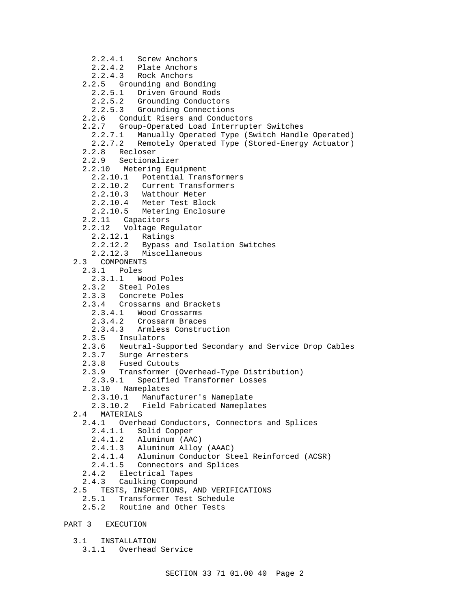- 2.2.4.1 Screw Anchors
- 2.2.4.2 Plate Anchors
- 2.2.4.3 Rock Anchors
- 2.2.5 Grounding and Bonding
	- 2.2.5.1 Driven Ground Rods
	- 2.2.5.2 Grounding Conductors
	- 2.2.5.3 Grounding Connections
- 2.2.6 Conduit Risers and Conductors
- 2.2.7 Group-Operated Load Interrupter Switches
	- 2.2.7.1 Manually Operated Type (Switch Handle Operated)
	- 2.2.7.2 Remotely Operated Type (Stored-Energy Actuator)
- 2.2.8 Recloser
- 2.2.9 Sectionalizer
- 2.2.10 Metering Equipment
	- 2.2.10.1 Potential Transformers
	- 2.2.10.2 Current Transformers
	- 2.2.10.3 Watthour Meter
- 2.2.10.4 Meter Test Block
- 2.2.10.5 Metering Enclosure
	- 2.2.11 Capacitors
	- 2.2.12 Voltage Regulator
		- 2.2.12.1 Ratings
		- 2.2.12.2 Bypass and Isolation Switches
		- 2.2.12.3 Miscellaneous
	- 2.3 COMPONENTS
		- 2.3.1 Poles
			- 2.3.1.1 Wood Poles
		- 2.3.2 Steel Poles
		- 2.3.3 Concrete Poles
		- 2.3.4 Crossarms and Brackets
			- 2.3.4.1 Wood Crossarms
			- 2.3.4.2 Crossarm Braces
			- 2.3.4.3 Armless Construction
		- 2.3.5 Insulators
		- 2.3.6 Neutral-Supported Secondary and Service Drop Cables
		- 2.3.7 Surge Arresters
		- 2.3.8 Fused Cutouts
		- 2.3.9 Transformer (Overhead-Type Distribution)
			- 2.3.9.1 Specified Transformer Losses
		- 2.3.10 Nameplates
			- 2.3.10.1 Manufacturer's Nameplate
			- 2.3.10.2 Field Fabricated Nameplates
	- 2.4 MATERIALS
		- 2.4.1 Overhead Conductors, Connectors and Splices
			- 2.4.1.1 Solid Copper
			- 2.4.1.2 Aluminum (AAC)
			- 2.4.1.3 Aluminum Alloy (AAAC)
			- 2.4.1.4 Aluminum Conductor Steel Reinforced (ACSR)
			- 2.4.1.5 Connectors and Splices
		- 2.4.2 Electrical Tapes
	- 2.4.3 Caulking Compound
	- 2.5 TESTS, INSPECTIONS, AND VERIFICATIONS
		- 2.5.1 Transformer Test Schedule
		- 2.5.2 Routine and Other Tests
- PART 3 EXECUTION
	- 3.1 INSTALLATION
		- 3.1.1 Overhead Service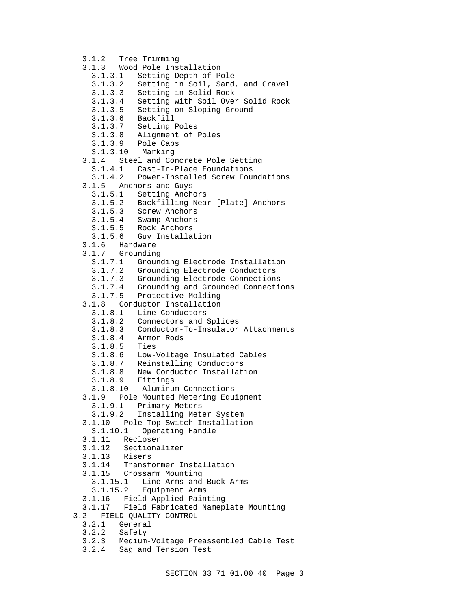3.1.2 Tree Trimming 3.1.3 Wood Pole Installation 3.1.3.1 Setting Depth of Pole 3.1.3.2 Setting in Soil, Sand, and Gravel 3.1.3.3 Setting in Solid Rock 3.1.3.4 Setting with Soil Over Solid Rock 3.1.3.5 Setting on Sloping Ground 3.1.3.6 Backfill 3.1.3.7 Setting Poles 3.1.3.8 Alignment of Poles 3.1.3.9 Pole Caps 3.1.3.10 Marking 3.1.4 Steel and Concrete Pole Setting 3.1.4.1 Cast-In-Place Foundations 3.1.4.2 Power-Installed Screw Foundations 3.1.5 Anchors and Guys 3.1.5.1 Setting Anchors 3.1.5.2 Backfilling Near [Plate] Anchors 3.1.5.3 Screw Anchors 3.1.5.4 Swamp Anchors 3.1.5.5 Rock Anchors 3.1.5.6 Guy Installation 3.1.6 Hardware 3.1.7 Grounding 3.1.7.1 Grounding Electrode Installation 3.1.7.2 Grounding Electrode Conductors 3.1.7.3 Grounding Electrode Connections 3.1.7.4 Grounding and Grounded Connections 3.1.7.5 Protective Molding 3.1.8 Conductor Installation 3.1.8.1 Line Conductors 3.1.8.2 Connectors and Splices 3.1.8.3 Conductor-To-Insulator Attachments 3.1.8.4 Armor Rods 3.1.8.5 Ties 3.1.8.6 Low-Voltage Insulated Cables 3.1.8.7 Reinstalling Conductors 3.1.8.8 New Conductor Installation 3.1.8.9 Fittings 3.1.8.10 Aluminum Connections 3.1.9 Pole Mounted Metering Equipment 3.1.9.1 Primary Meters 3.1.9.2 Installing Meter System 3.1.10 Pole Top Switch Installation 3.1.10.1 Operating Handle 3.1.11 Recloser 3.1.12 Sectionalizer 3.1.13 Risers 3.1.14 Transformer Installation 3.1.15 Crossarm Mounting Line Arms and Buck Arms 3.1.15.2 Equipment Arms 3.1.16 Field Applied Painting 3.1.17 Field Fabricated Nameplate Mounting 3.2 FIELD QUALITY CONTROL 3.2.1 General 3.2.2 Safety 3.2.3 Medium-Voltage Preassembled Cable Test

3.2.4 Sag and Tension Test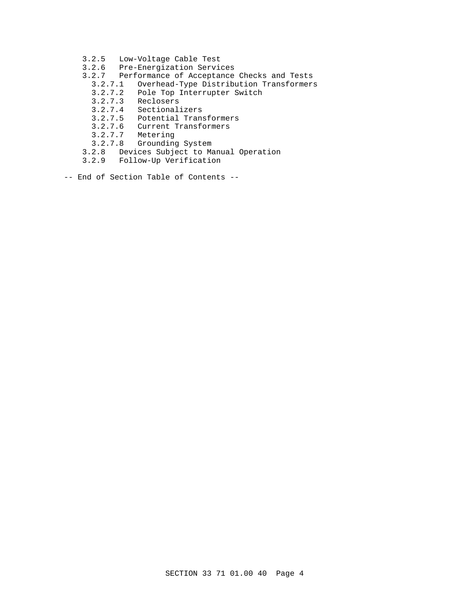- 3.2.5 Low-Voltage Cable Test
- 3.2.6 Pre-Energization Services
- 3.2.7 Performance of Acceptance Checks and Tests
	- 3.2.7.1 Overhead-Type Distribution Transformers
	- 3.2.7.2 Pole Top Interrupter Switch
	-
	- 3.2.7.3 Reclosers Sectionalizers
	- 3.2.7.5 Potential Transformers
	- 3.2.7.6 Current Transformers
	- 3.2.7.7 Metering
	- 3.2.7.8 Grounding System
- 3.2.8 Devices Subject to Manual Operation
- 3.2.9 Follow-Up Verification
- -- End of Section Table of Contents --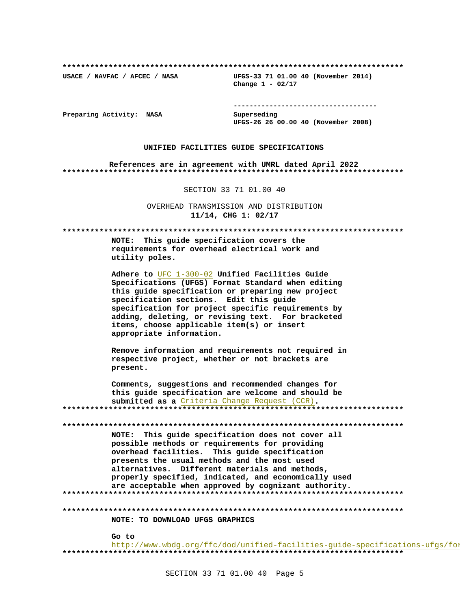USACE / NAVFAC / AFCEC / NASA

UFGS-33 71 01.00 40 (November 2014) Change  $1 - 02/17$ 

Preparing Activity: NASA

Superseding UFGS-26 26 00.00 40 (November 2008)

#### UNIFIED FACILITIES GUIDE SPECIFICATIONS

References are in agreement with UMRL dated April 2022 

SECTION 33 71 01.00 40

OVERHEAD TRANSMISSION AND DISTRIBUTION 11/14, CHG 1: 02/17

NOTE: This guide specification covers the requirements for overhead electrical work and utility poles.

> Adhere to  $UFC$   $1-300-02$  Unified Facilities Guide Specifications (UFGS) Format Standard when editing this guide specification or preparing new project specification sections. Edit this guide specification for project specific requirements by adding, deleting, or revising text. For bracketed items, choose applicable item(s) or insert appropriate information.

Remove information and requirements not required in respective project, whether or not brackets are present.

Comments, suggestions and recommended changes for this guide specification are welcome and should be submitted as a Criteria Change Request (CCR). 

NOTE: This guide specification does not cover all possible methods or requirements for providing overhead facilities. This guide specification presents the usual methods and the most used alternatives. Different materials and methods, properly specified, indicated, and economically used are acceptable when approved by cognizant authority. 

NOTE: TO DOWNLOAD UFGS GRAPHICS

Go to http://www.wbdg.org/ffc/dod/unified-facilities-guide-specifications-ufgs/for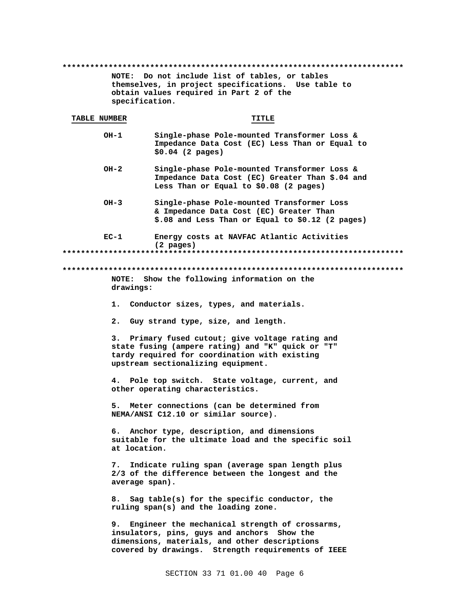. . . . . . . . . . . . . . . . . . . . NOTE: Do not include list of tables, or tables themselves, in project specifications. Use table to obtain values required in Part 2 of the specification.

### TABLE NUMBER

TITLE

- Single-phase Pole-mounted Transformer Loss &  $OH-1$ Impedance Data Cost (EC) Less Than or Equal to  $$0.04$  (2 pages)
- $OH-2$ Single-phase Pole-mounted Transformer Loss & Impedance Data Cost (EC) Greater Than \$.04 and Less Than or Equal to \$0.08 (2 pages)
- $OH-3$ Single-phase Pole-mounted Transformer Loss & Impedance Data Cost (EC) Greater Than \$.08 and Less Than or Equal to \$0.12 (2 pages)
- $EC-1$ Energy costs at NAVFAC Atlantic Activities  $(2 \text{ pages})$

# NOTE: Show the following information on the drawings:

- 1. Conductor sizes, types, and materials.
- 2. Guy strand type, size, and length.

3. Primary fused cutout; give voltage rating and state fusing (ampere rating) and "K" quick or "T" tardy required for coordination with existing upstream sectionalizing equipment.

4. Pole top switch. State voltage, current, and other operating characteristics.

5. Meter connections (can be determined from NEMA/ANSI C12.10 or similar source).

6. Anchor type, description, and dimensions suitable for the ultimate load and the specific soil at location.

7. Indicate ruling span (average span length plus 2/3 of the difference between the longest and the average span).

8. Sag table(s) for the specific conductor, the ruling span(s) and the loading zone.

9. Engineer the mechanical strength of crossarms, insulators, pins, guys and anchors Show the dimensions, materials, and other descriptions covered by drawings. Strength requirements of IEEE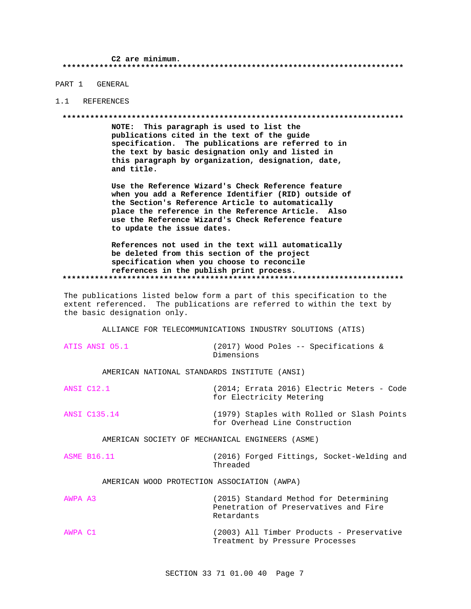PART 1 GENERAL

#### 1.1 REFERENCES

#### 

NOTE: This paragraph is used to list the publications cited in the text of the guide specification. The publications are referred to in the text by basic designation only and listed in this paragraph by organization, designation, date, and title.

Use the Reference Wizard's Check Reference feature when you add a Reference Identifier (RID) outside of the Section's Reference Article to automatically place the reference in the Reference Article. Also use the Reference Wizard's Check Reference feature to update the issue dates.

References not used in the text will automatically be deleted from this section of the project specification when you choose to reconcile references in the publish print process. 

The publications listed below form a part of this specification to the extent referenced. The publications are referred to within the text by the basic designation only.

ALLIANCE FOR TELECOMMUNICATIONS INDUSTRY SOLUTIONS (ATIS)

|         | ATIS ANSI 05.1     | Dimensions                                      | (2017) Wood Poles -- Specifications &                                           |
|---------|--------------------|-------------------------------------------------|---------------------------------------------------------------------------------|
|         |                    | AMERICAN NATIONAL STANDARDS INSTITUTE (ANSI)    |                                                                                 |
|         | ANSI C12.1         |                                                 | (2014; Errata 2016) Electric Meters - Code<br>for Electricity Metering          |
|         | ANSI C135.14       |                                                 | (1979) Staples with Rolled or Slash Points<br>for Overhead Line Construction    |
|         |                    | AMERICAN SOCIETY OF MECHANICAL ENGINEERS (ASME) |                                                                                 |
|         | <b>ASME B16.11</b> | Threaded                                        | (2016) Forged Fittings, Socket-Welding and                                      |
|         |                    | AMERICAN WOOD PROTECTION ASSOCIATION (AWPA)     |                                                                                 |
| AWPA A3 |                    |                                                 | (2015) Standard Method for Determining<br>Penetration of Preservatives and Fire |

AWPA C1 (2003) All Timber Products - Preservative Treatment by Pressure Processes

Retardants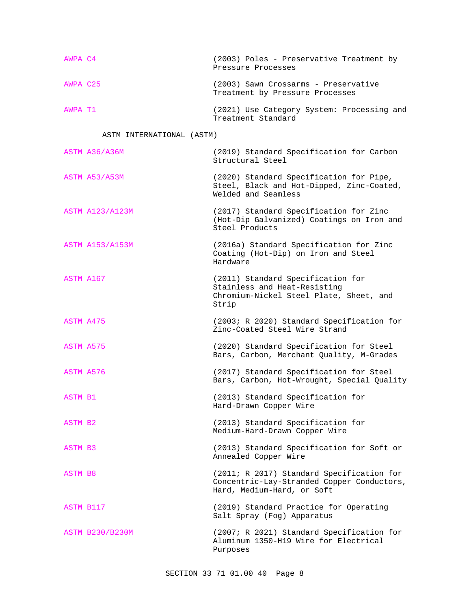| AWPA C4  | (2003) Poles - Preservative Treatment by<br>Pressure Processes          |
|----------|-------------------------------------------------------------------------|
| AWPA C25 | (2003) Sawn Crossarms - Preservative<br>Treatment by Pressure Processes |
| AWPA T1  | (2021) Use Category System: Processing and<br>Treatment Standard        |

# ASTM INTERNATIONAL (ASTM)

| <b>ASTM A36/A36M</b>   | (2019) Standard Specification for Carbon<br>Structural Steel                                                          |
|------------------------|-----------------------------------------------------------------------------------------------------------------------|
| ASTM A53/A53M          | (2020) Standard Specification for Pipe,<br>Steel, Black and Hot-Dipped, Zinc-Coated,<br>Welded and Seamless           |
| <b>ASTM A123/A123M</b> | (2017) Standard Specification for Zinc<br>(Hot-Dip Galvanized) Coatings on Iron and<br>Steel Products                 |
| <b>ASTM A153/A153M</b> | (2016a) Standard Specification for Zinc<br>Coating (Hot-Dip) on Iron and Steel<br>Hardware                            |
| ASTM A167              | (2011) Standard Specification for<br>Stainless and Heat-Resisting<br>Chromium-Nickel Steel Plate, Sheet, and<br>Strip |
| ASTM A475              | (2003; R 2020) Standard Specification for<br>Zinc-Coated Steel Wire Strand                                            |
| ASTM A575              | (2020) Standard Specification for Steel<br>Bars, Carbon, Merchant Quality, M-Grades                                   |
| ASTM A576              | (2017) Standard Specification for Steel<br>Bars, Carbon, Hot-Wrought, Special Quality                                 |
| ASTM B1                | (2013) Standard Specification for<br>Hard-Drawn Copper Wire                                                           |
| ASTM B2                | (2013) Standard Specification for<br>Medium-Hard-Drawn Copper Wire                                                    |
| ASTM B3                | (2013) Standard Specification for Soft or<br>Annealed Copper Wire                                                     |
| <b>ASTM B8</b>         | (2011; R 2017) Standard Specification for<br>Concentric-Lay-Stranded Copper Conductors,<br>Hard, Medium-Hard, or Soft |
| ASTM B117              | (2019) Standard Practice for Operating<br>Salt Spray (Fog) Apparatus                                                  |
| <b>ASTM B230/B230M</b> | (2007; R 2021) Standard Specification for<br>Aluminum 1350-H19 Wire for Electrical<br>Purposes                        |
|                        |                                                                                                                       |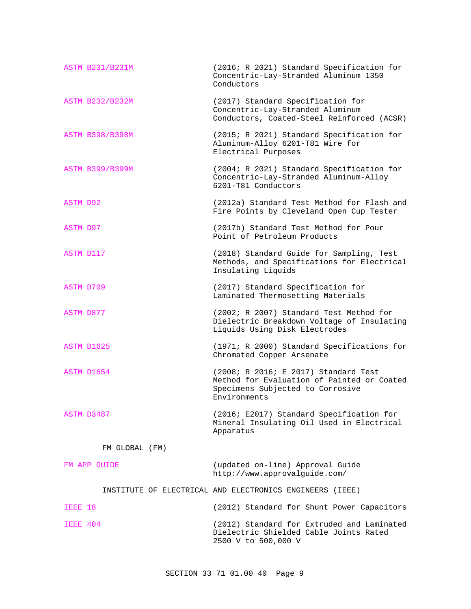| <b>ASTM B231/B231M</b> | (2016; R 2021) Standard Specification for<br>Concentric-Lay-Stranded Aluminum 1350<br>Conductors                                       |
|------------------------|----------------------------------------------------------------------------------------------------------------------------------------|
| <b>ASTM B232/B232M</b> | (2017) Standard Specification for<br>Concentric-Lay-Stranded Aluminum<br>Conductors, Coated-Steel Reinforced (ACSR)                    |
| <b>ASTM B398/B398M</b> | (2015; R 2021) Standard Specification for<br>Aluminum-Alloy 6201-T81 Wire for<br>Electrical Purposes                                   |
| <b>ASTM B399/B399M</b> | (2004; R 2021) Standard Specification for<br>Concentric-Lay-Stranded Aluminum-Alloy<br>6201-T81 Conductors                             |
| <b>ASTM D92</b>        | (2012a) Standard Test Method for Flash and<br>Fire Points by Cleveland Open Cup Tester                                                 |
| <b>ASTM D97</b>        | (2017b) Standard Test Method for Pour<br>Point of Petroleum Products                                                                   |
| ASTM D117              | (2018) Standard Guide for Sampling, Test<br>Methods, and Specifications for Electrical<br>Insulating Liquids                           |
| ASTM D709              | (2017) Standard Specification for<br>Laminated Thermosetting Materials                                                                 |
| <b>ASTM D877</b>       | (2002; R 2007) Standard Test Method for<br>Dielectric Breakdown Voltage of Insulating<br>Liquids Using Disk Electrodes                 |
| ASTM D1625             | (1971; R 2000) Standard Specifications for<br>Chromated Copper Arsenate                                                                |
| ASTM D1654             | (2008; R 2016; E 2017) Standard Test<br>Method for Evaluation of Painted or Coated<br>Specimens Subjected to Corrosive<br>Environments |
| ASTM D3487             | (2016; E2017) Standard Specification for<br>Mineral Insulating Oil Used in Electrical<br>Apparatus                                     |
| FM GLOBAL (FM)         |                                                                                                                                        |
| FM APP GUIDE           | (updated on-line) Approval Guide<br>http://www.approvalguide.com/                                                                      |
|                        | INSTITUTE OF ELECTRICAL AND ELECTRONICS ENGINEERS (IEEE)                                                                               |
| IEEE 18                | (2012) Standard for Shunt Power Capacitors                                                                                             |
| IEEE 404               | (2012) Standard for Extruded and Laminated<br>Dielectric Shielded Cable Joints Rated<br>2500 V to 500,000 V                            |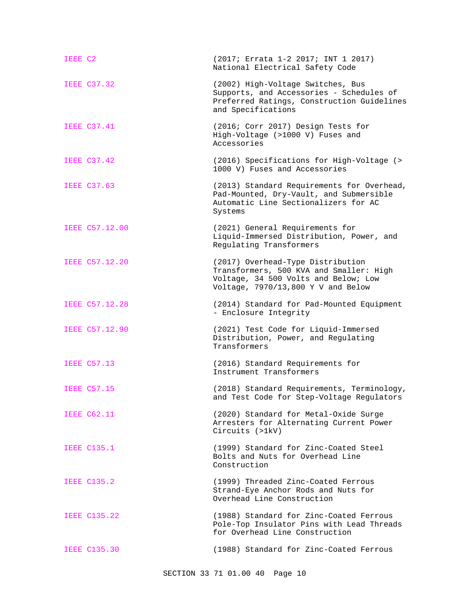| IEEE C2             | (2017; Errata 1-2 2017; INT 1 2017)<br>National Electrical Safety Code                                                                                     |
|---------------------|------------------------------------------------------------------------------------------------------------------------------------------------------------|
| <b>IEEE C37.32</b>  | (2002) High-Voltage Switches, Bus<br>Supports, and Accessories - Schedules of<br>Preferred Ratings, Construction Guidelines<br>and Specifications          |
| <b>IEEE C37.41</b>  | (2016; Corr 2017) Design Tests for<br>High-Voltage (>1000 V) Fuses and<br>Accessories                                                                      |
| <b>IEEE C37.42</b>  | (2016) Specifications for High-Voltage (><br>1000 V) Fuses and Accessories                                                                                 |
| <b>IEEE C37.63</b>  | (2013) Standard Requirements for Overhead,<br>Pad-Mounted, Dry-Vault, and Submersible<br>Automatic Line Sectionalizers for AC<br>Systems                   |
| IEEE C57.12.00      | (2021) General Requirements for<br>Liquid-Immersed Distribution, Power, and<br>Regulating Transformers                                                     |
| IEEE C57.12.20      | (2017) Overhead-Type Distribution<br>Transformers, 500 KVA and Smaller: High<br>Voltage, 34 500 Volts and Below; Low<br>Voltage, 7970/13,800 Y V and Below |
| IEEE C57.12.28      | (2014) Standard for Pad-Mounted Equipment<br>- Enclosure Integrity                                                                                         |
| IEEE C57.12.90      | (2021) Test Code for Liquid-Immersed<br>Distribution, Power, and Regulating<br>Transformers                                                                |
| <b>IEEE C57.13</b>  | (2016) Standard Requirements for<br>Instrument Transformers                                                                                                |
| <b>IEEE C57.15</b>  | (2018) Standard Requirements, Terminology,<br>and Test Code for Step-Voltage Regulators                                                                    |
| <b>IEEE C62.11</b>  | (2020) Standard for Metal-Oxide Surge<br>Arresters for Alternating Current Power<br>Circuits (>1kV)                                                        |
| <b>IEEE C135.1</b>  | (1999) Standard for Zinc-Coated Steel<br>Bolts and Nuts for Overhead Line<br>Construction                                                                  |
| <b>IEEE C135.2</b>  | (1999) Threaded Zinc-Coated Ferrous<br>Strand-Eye Anchor Rods and Nuts for<br>Overhead Line Construction                                                   |
| <b>IEEE C135.22</b> | (1988) Standard for Zinc-Coated Ferrous<br>Pole-Top Insulator Pins with Lead Threads<br>for Overhead Line Construction                                     |
| <b>IEEE C135.30</b> | (1988) Standard for Zinc-Coated Ferrous                                                                                                                    |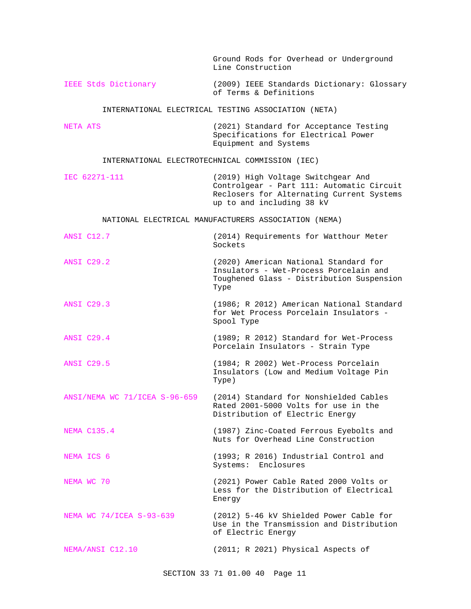|                          | Ground Rods for Overhead or Underground<br>Line Construction                                                                                              |
|--------------------------|-----------------------------------------------------------------------------------------------------------------------------------------------------------|
| IEEE Stds Dictionary     | (2009) IEEE Standards Dictionary: Glossary<br>of Terms & Definitions                                                                                      |
|                          | INTERNATIONAL ELECTRICAL TESTING ASSOCIATION (NETA)                                                                                                       |
| NETA ATS                 | (2021) Standard for Acceptance Testing<br>Specifications for Electrical Power<br>Equipment and Systems                                                    |
|                          | INTERNATIONAL ELECTROTECHNICAL COMMISSION (IEC)                                                                                                           |
| IEC 62271-111            | (2019) High Voltage Switchgear And<br>Controlgear - Part 111: Automatic Circuit<br>Reclosers for Alternating Current Systems<br>up to and including 38 kV |
|                          | NATIONAL ELECTRICAL MANUFACTURERS ASSOCIATION (NEMA)                                                                                                      |
| ANSI C12.7               | (2014) Requirements for Watthour Meter<br>Sockets                                                                                                         |
| <b>ANSI C29.2</b>        | (2020) American National Standard for<br>Insulators - Wet-Process Porcelain and<br>Toughened Glass - Distribution Suspension<br>Type                      |
| <b>ANSI C29.3</b>        | (1986; R 2012) American National Standard<br>for Wet Process Porcelain Insulators -<br>Spool Type                                                         |
| <b>ANSI C29.4</b>        | (1989; R 2012) Standard for Wet-Process<br>Porcelain Insulators - Strain Type                                                                             |
| <b>ANSI C29.5</b>        | (1984; R 2002) Wet-Process Porcelain<br>Insulators (Low and Medium Voltage Pin<br>Type)                                                                   |
|                          | ANSI/NEMA WC 71/ICEA S-96-659 (2014) Standard for Nonshielded Cables<br>Rated 2001-5000 Volts for use in the<br>Distribution of Electric Energy           |
| <b>NEMA C135.4</b>       | (1987) Zinc-Coated Ferrous Eyebolts and<br>Nuts for Overhead Line Construction                                                                            |
| NEMA ICS 6               | (1993; R 2016) Industrial Control and<br>Systems: Enclosures                                                                                              |
| NEMA WC 70               | (2021) Power Cable Rated 2000 Volts or<br>Less for the Distribution of Electrical<br>Energy                                                               |
| NEMA WC 74/ICEA S-93-639 | (2012) 5-46 kV Shielded Power Cable for<br>Use in the Transmission and Distribution<br>of Electric Energy                                                 |
| NEMA/ANSI C12.10         | (2011; R 2021) Physical Aspects of                                                                                                                        |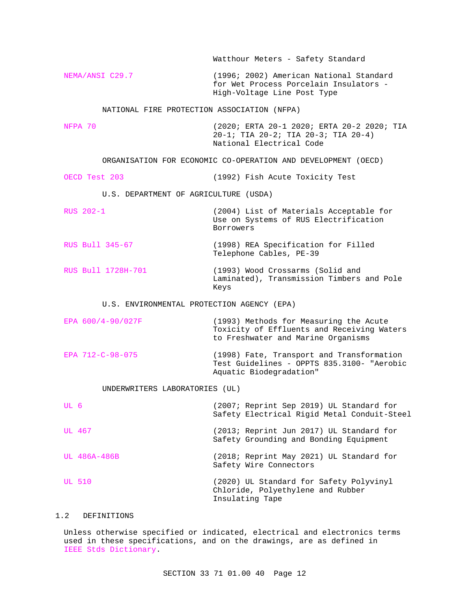Watthour Meters - Safety Standard NEMA/ANSI C29.7 (1996; 2002) American National Standard for Wet Process Porcelain Insulators - High-Voltage Line Post Type NATIONAL FIRE PROTECTION ASSOCIATION (NFPA) NFPA 70 (2020; ERTA 20-1 2020; ERTA 20-2 2020; TIA 20-1; TIA 20-2; TIA 20-3; TIA 20-4) National Electrical Code ORGANISATION FOR ECONOMIC CO-OPERATION AND DEVELOPMENT (OECD) OECD Test 203 (1992) Fish Acute Toxicity Test U.S. DEPARTMENT OF AGRICULTURE (USDA) RUS 202-1 (2004) List of Materials Acceptable for Use on Systems of RUS Electrification Borrowers RUS Bull 345-67 (1998) REA Specification for Filled Telephone Cables, PE-39 RUS Bull 1728H-701 (1993) Wood Crossarms (Solid and Laminated), Transmission Timbers and Pole Keys U.S. ENVIRONMENTAL PROTECTION AGENCY (EPA) EPA 600/4-90/027F (1993) Methods for Measuring the Acute Toxicity of Effluents and Receiving Waters to Freshwater and Marine Organisms EPA 712-C-98-075 (1998) Fate, Transport and Transformation Test Guidelines - OPPTS 835.3100- "Aerobic Aquatic Biodegradation" UNDERWRITERS LABORATORIES (UL) UL 6 (2007; Reprint Sep 2019) UL Standard for Safety Electrical Rigid Metal Conduit-Steel UL 467 (2013; Reprint Jun 2017) UL Standard for Safety Grounding and Bonding Equipment UL 486A-486B (2018; Reprint May 2021) UL Standard for Safety Wire Connectors UL 510 (2020) UL Standard for Safety Polyvinyl Chloride, Polyethylene and Rubber Insulating Tape

# 1.2 DEFINITIONS

Unless otherwise specified or indicated, electrical and electronics terms used in these specifications, and on the drawings, are as defined in IEEE Stds Dictionary.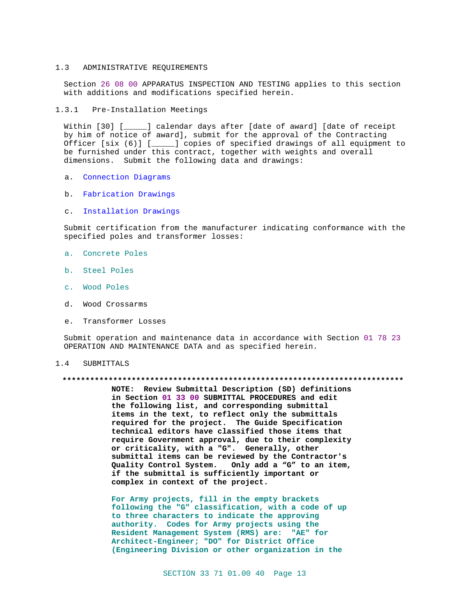#### $1.3$ ADMINISTRATIVE REQUIREMENTS

Section 26 08 00 APPARATUS INSPECTION AND TESTING applies to this section with additions and modifications specified herein.

1.3.1 Pre-Installation Meetings

Within [30] [\_\_\_\_\_] calendar days after [date of award] [date of receipt by him of notice of award], submit for the approval of the Contracting Officer [six (6)] [\_\_\_\_\_] copies of specified drawings of all equipment to be furnished under this contract, together with weights and overall dimensions. Submit the following data and drawings:

- a. Connection Diagrams
- b. Fabrication Drawings
- c. Installation Drawings

Submit certification from the manufacturer indicating conformance with the specified poles and transformer losses:

- a. Concrete Poles
- b. Steel Poles
- c. Wood Poles
- d. Wood Crossarms
- e. Transformer Losses

Submit operation and maintenance data in accordance with Section 01 78 23 OPERATION AND MAINTENANCE DATA and as specified herein.

#### $1.4$ SUBMITTALS

#### 

NOTE: Review Submittal Description (SD) definitions in Section 01 33 00 SUBMITTAL PROCEDURES and edit the following list, and corresponding submittal items in the text, to reflect only the submittals required for the project. The Guide Specification technical editors have classified those items that require Government approval, due to their complexity or criticality, with a "G". Generally, other submittal items can be reviewed by the Contractor's Quality Control System. Only add a "G" to an item, if the submittal is sufficiently important or complex in context of the project.

For Army projects, fill in the empty brackets following the "G" classification, with a code of up to three characters to indicate the approving authority. Codes for Army projects using the Resident Management System (RMS) are: "AE" for Architect-Engineer; "DO" for District Office (Engineering Division or other organization in the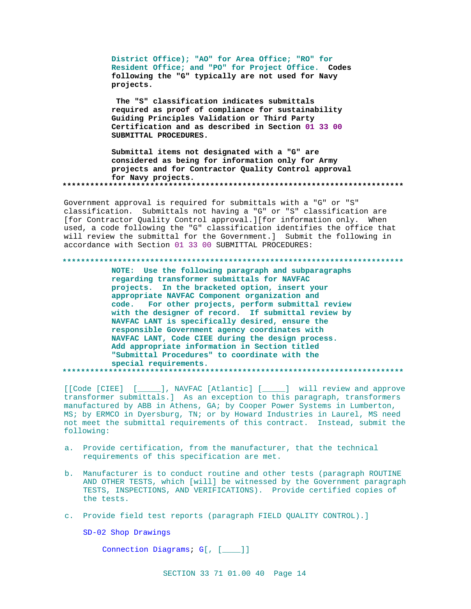District Office); "AO" for Area Office; "RO" for Resident Office; and "PO" for Project Office. Codes following the "G" typically are not used for Navy projects.

The "S" classification indicates submittals required as proof of compliance for sustainability Guiding Principles Validation or Third Party Certification and as described in Section 01 33 00 SUBMITTAL PROCEDURES.

Submittal items not designated with a "G" are considered as being for information only for Army projects and for Contractor Quality Control approval for Navy projects. 

Government approval is required for submittals with a "G" or "S" classification. Submittals not having a "G" or "S" classification are [for Contractor Quality Control approval.][for information only. When used, a code following the "G" classification identifies the office that will review the submittal for the Government.] Submit the following in accordance with Section 01 33 00 SUBMITTAL PROCEDURES:

#### 

NOTE: Use the following paragraph and subparagraphs regarding transformer submittals for NAVFAC projects. In the bracketed option, insert your appropriate NAVFAC Component organization and For other projects, perform submittal review code. with the designer of record. If submittal review by NAVFAC LANT is specifically desired, ensure the responsible Government agency coordinates with NAVFAC LANT, Code CIEE during the design process. Add appropriate information in Section titled "Submittal Procedures" to coordinate with the special requirements. . . . . . . . . . . . 

[[Code [CIEE] [\_\_\_\_\_], NAVFAC [Atlantic] [\_\_\_\_] will review and approve transformer submittals.] As an exception to this paragraph, transformers manufactured by ABB in Athens, GA; by Cooper Power Systems in Lumberton, MS; by ERMCO in Dyersburg, TN; or by Howard Industries in Laurel, MS need not meet the submittal requirements of this contract. Instead, submit the following:

- a. Provide certification, from the manufacturer, that the technical requirements of this specification are met.
- b. Manufacturer is to conduct routine and other tests (paragraph ROUTINE AND OTHER TESTS, which [will] be witnessed by the Government paragraph TESTS, INSPECTIONS, AND VERIFICATIONS). Provide certified copies of the tests.
- c. Provide field test reports (paragraph FIELD OUALITY CONTROL).]

SD-02 Shop Drawings

Connection Diagrams; G[, [  $\Box$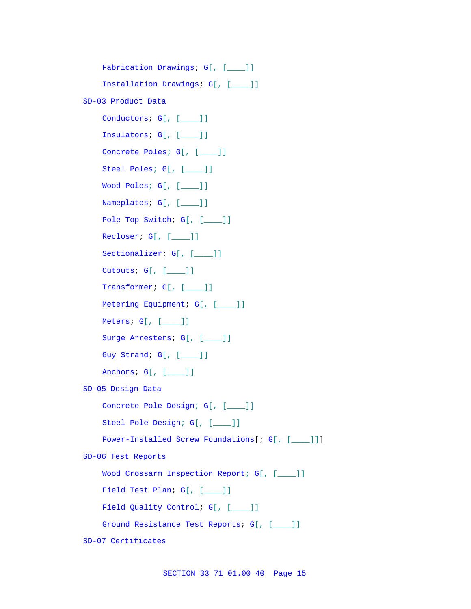```
Fabrication Drawings; G[, [____]]
    Installation Drawings; G[, [____]]
SD-03 Product Data
    Conductors; G[, [___]]
    Insulators; G[, [____]]
    Concrete Poles; G[, [____]]
    Steel Poles; G[, [____]]
    Wood Poles; G[, [____]]
    Nameplates; G[, [____]]
    Pole Top Switch; G[, [___]]
    Recloser; G[, [____]]
    Sectionalizer; G[, [____]]
    Cutouts; G[, [____]]
    Transformer; G[, [___]]
    Metering Equipment; G[, [___]]
    Meters; G[, [____]]
    Surge Arresters; G[, [___]]
    Guy Strand; G[, [____]]
    Anchors; G[, [____]]
SD-05 Design Data
    Concrete Pole Design; G[, [____]]
    Steel Pole Design; G[, [____]]
    Power-Installed Screw Foundations[; G[, [____]]]
SD-06 Test Reports
    Wood Crossarm Inspection Report; G[, [____]]
    Field Test Plan; G[, [____]]
    Field Quality Control; G[, [___]]
    Ground Resistance Test Reports; G[, [___]]
SD-07 Certificates
```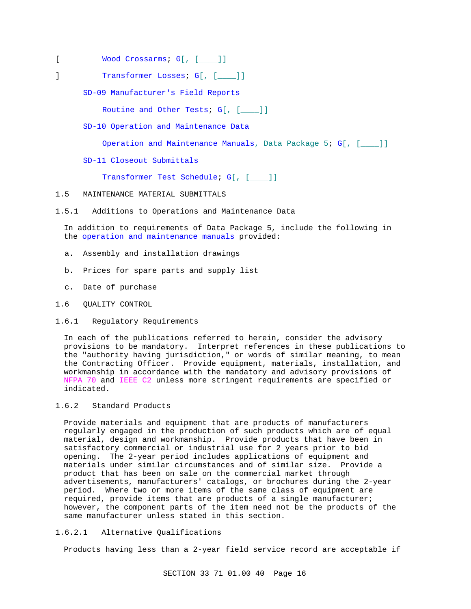- [ Wood Crossarms; G[, [ \_\_\_\_ ]]
- ] Transformer Losses; G[, [\_\_\_]]

SD-09 Manufacturer's Field Reports

Routine and Other Tests; G[, [\_\_\_]]

SD-10 Operation and Maintenance Data

Operation and Maintenance Manuals, Data Package 5; G[, [\_\_\_\_]]

SD-11 Closeout Submittals

Transformer Test Schedule; G[, [\_\_\_\_]]

- 1.5 MAINTENANCE MATERIAL SUBMITTALS
- 1.5.1 Additions to Operations and Maintenance Data

In addition to requirements of Data Package 5, include the following in the operation and maintenance manuals provided:

- a. Assembly and installation drawings
- b. Prices for spare parts and supply list
- c. Date of purchase
- 1.6 QUALITY CONTROL
- 1.6.1 Regulatory Requirements

In each of the publications referred to herein, consider the advisory provisions to be mandatory. Interpret references in these publications to the "authority having jurisdiction," or words of similar meaning, to mean the Contracting Officer. Provide equipment, materials, installation, and workmanship in accordance with the mandatory and advisory provisions of NFPA 70 and IEEE C2 unless more stringent requirements are specified or indicated.

# 1.6.2 Standard Products

Provide materials and equipment that are products of manufacturers regularly engaged in the production of such products which are of equal material, design and workmanship. Provide products that have been in satisfactory commercial or industrial use for 2 years prior to bid opening. The 2-year period includes applications of equipment and materials under similar circumstances and of similar size. Provide a product that has been on sale on the commercial market through advertisements, manufacturers' catalogs, or brochures during the 2-year period. Where two or more items of the same class of equipment are required, provide items that are products of a single manufacturer; however, the component parts of the item need not be the products of the same manufacturer unless stated in this section.

# 1.6.2.1 Alternative Qualifications

Products having less than a 2-year field service record are acceptable if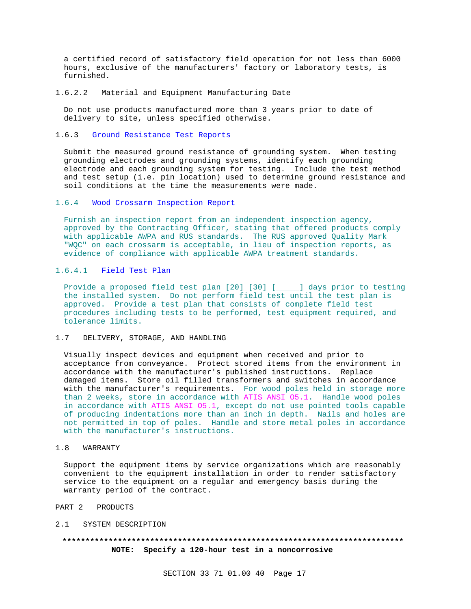a certified record of satisfactory field operation for not less than 6000 hours, exclusive of the manufacturers' factory or laboratory tests, is furnished.

#### 1.6.2.2 Material and Equipment Manufacturing Date

Do not use products manufactured more than 3 years prior to date of delivery to site, unless specified otherwise.

## 1.6.3 Ground Resistance Test Reports

Submit the measured ground resistance of grounding system. When testing grounding electrodes and grounding systems, identify each grounding electrode and each grounding system for testing. Include the test method and test setup (i.e. pin location) used to determine ground resistance and soil conditions at the time the measurements were made.

#### 1.6.4 Wood Crossarm Inspection Report

Furnish an inspection report from an independent inspection agency, approved by the Contracting Officer, stating that offered products comply with applicable AWPA and RUS standards. The RUS approved Quality Mark "WQC" on each crossarm is acceptable, in lieu of inspection reports, as evidence of compliance with applicable AWPA treatment standards.

#### 1.6.4.1 Field Test Plan

Provide a proposed field test plan [20] [30] [\_\_\_\_\_] days prior to testing the installed system. Do not perform field test until the test plan is approved. Provide a test plan that consists of complete field test procedures including tests to be performed, test equipment required, and tolerance limits.

# 1.7 DELIVERY, STORAGE, AND HANDLING

Visually inspect devices and equipment when received and prior to acceptance from conveyance. Protect stored items from the environment in accordance with the manufacturer's published instructions. Replace damaged items. Store oil filled transformers and switches in accordance with the manufacturer's requirements. For wood poles held in storage more than 2 weeks, store in accordance with ATIS ANSI O5.1. Handle wood poles in accordance with ATIS ANSI O5.1, except do not use pointed tools capable of producing indentations more than an inch in depth. Nails and holes are not permitted in top of poles. Handle and store metal poles in accordance with the manufacturer's instructions.

#### 1.8 WARRANTY

Support the equipment items by service organizations which are reasonably convenient to the equipment installation in order to render satisfactory service to the equipment on a regular and emergency basis during the warranty period of the contract.

#### PART 2 PRODUCTS

#### 2.1 SYSTEM DESCRIPTION

# **\*\*\*\*\*\*\*\*\*\*\*\*\*\*\*\*\*\*\*\*\*\*\*\*\*\*\*\*\*\*\*\*\*\*\*\*\*\*\*\*\*\*\*\*\*\*\*\*\*\*\*\*\*\*\*\*\*\*\*\*\*\*\*\*\*\*\*\*\*\*\*\*\*\* NOTE: Specify a 120-hour test in a noncorrosive**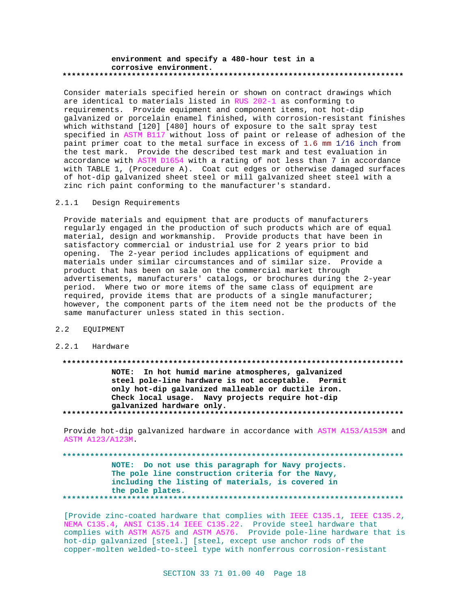#### **environment and specify a 480-hour test in a corrosive environment. \*\*\*\*\*\*\*\*\*\*\*\*\*\*\*\*\*\*\*\*\*\*\*\*\*\*\*\*\*\*\*\*\*\*\*\*\*\*\*\*\*\*\*\*\*\*\*\*\*\*\*\*\*\*\*\*\*\*\*\*\*\*\*\*\*\*\*\*\*\*\*\*\*\***

Consider materials specified herein or shown on contract drawings which are identical to materials listed in RUS 202-1 as conforming to requirements. Provide equipment and component items, not hot-dip galvanized or porcelain enamel finished, with corrosion-resistant finishes which withstand [120] [480] hours of exposure to the salt spray test specified in ASTM B117 without loss of paint or release of adhesion of the paint primer coat to the metal surface in excess of 1.6 mm 1/16 inch from the test mark. Provide the described test mark and test evaluation in accordance with ASTM D1654 with a rating of not less than 7 in accordance with TABLE 1, (Procedure A). Coat cut edges or otherwise damaged surfaces of hot-dip galvanized sheet steel or mill galvanized sheet steel with a zinc rich paint conforming to the manufacturer's standard.

#### 2.1.1 Design Requirements

Provide materials and equipment that are products of manufacturers regularly engaged in the production of such products which are of equal material, design and workmanship. Provide products that have been in satisfactory commercial or industrial use for 2 years prior to bid opening. The 2-year period includes applications of equipment and materials under similar circumstances and of similar size. Provide a product that has been on sale on the commercial market through advertisements, manufacturers' catalogs, or brochures during the 2-year period. Where two or more items of the same class of equipment are required, provide items that are products of a single manufacturer; however, the component parts of the item need not be the products of the same manufacturer unless stated in this section.

# 2.2 EQUIPMENT

#### 2.2.1 Hardware

# **\*\*\*\*\*\*\*\*\*\*\*\*\*\*\*\*\*\*\*\*\*\*\*\*\*\*\*\*\*\*\*\*\*\*\*\*\*\*\*\*\*\*\*\*\*\*\*\*\*\*\*\*\*\*\*\*\*\*\*\*\*\*\*\*\*\*\*\*\*\*\*\*\*\* NOTE: In hot humid marine atmospheres, galvanized steel pole-line hardware is not acceptable. Permit only hot-dip galvanized malleable or ductile iron. Check local usage. Navy projects require hot-dip galvanized hardware only. \*\*\*\*\*\*\*\*\*\*\*\*\*\*\*\*\*\*\*\*\*\*\*\*\*\*\*\*\*\*\*\*\*\*\*\*\*\*\*\*\*\*\*\*\*\*\*\*\*\*\*\*\*\*\*\*\*\*\*\*\*\*\*\*\*\*\*\*\*\*\*\*\*\***

Provide hot-dip galvanized hardware in accordance with ASTM A153/A153M and ASTM A123/A123M.

# **\*\*\*\*\*\*\*\*\*\*\*\*\*\*\*\*\*\*\*\*\*\*\*\*\*\*\*\*\*\*\*\*\*\*\*\*\*\*\*\*\*\*\*\*\*\*\*\*\*\*\*\*\*\*\*\*\*\*\*\*\*\*\*\*\*\*\*\*\*\*\*\*\*\* NOTE: Do not use this paragraph for Navy projects. The pole line construction criteria for the Navy, including the listing of materials, is covered in the pole plates. \*\*\*\*\*\*\*\*\*\*\*\*\*\*\*\*\*\*\*\*\*\*\*\*\*\*\*\*\*\*\*\*\*\*\*\*\*\*\*\*\*\*\*\*\*\*\*\*\*\*\*\*\*\*\*\*\*\*\*\*\*\*\*\*\*\*\*\*\*\*\*\*\*\***

[Provide zinc-coated hardware that complies with IEEE C135.1, IEEE C135.2, NEMA C135.4, ANSI C135.14 IEEE C135.22. Provide steel hardware that complies with ASTM A575 and ASTM A576. Provide pole-line hardware that is hot-dip galvanized [steel.] [steel, except use anchor rods of the copper-molten welded-to-steel type with nonferrous corrosion-resistant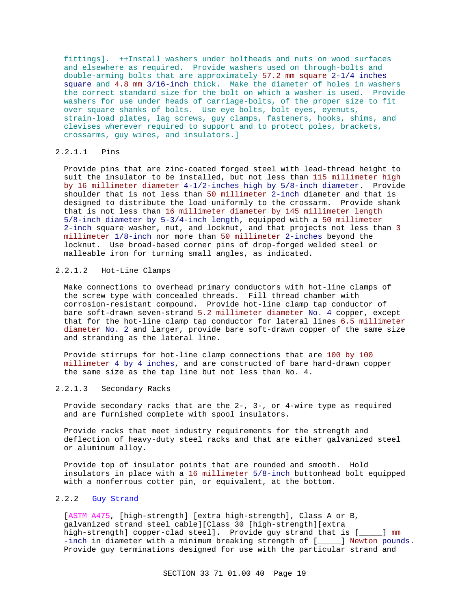fittings]. ++Install washers under boltheads and nuts on wood surfaces and elsewhere as required. Provide washers used on through-bolts and double-arming bolts that are approximately 57.2 mm square 2-1/4 inches square and 4.8 mm 3/16-inch thick. Make the diameter of holes in washers the correct standard size for the bolt on which a washer is used. Provide washers for use under heads of carriage-bolts, of the proper size to fit over square shanks of bolts. Use eye bolts, bolt eyes, eyenuts, strain-load plates, lag screws, guy clamps, fasteners, hooks, shims, and clevises wherever required to support and to protect poles, brackets, crossarms, guy wires, and insulators.]

## 2.2.1.1 Pins

Provide pins that are zinc-coated forged steel with lead-thread height to suit the insulator to be installed, but not less than 115 millimeter high by 16 millimeter diameter 4-1/2-inches high by 5/8-inch diameter. Provide shoulder that is not less than 50 millimeter 2-inch diameter and that is designed to distribute the load uniformly to the crossarm. Provide shank that is not less than 16 millimeter diameter by 145 millimeter length 5/8-inch diameter by 5-3/4-inch length, equipped with a 50 millimeter 2-inch square washer, nut, and locknut, and that projects not less than 3 millimeter 1/8-inch nor more than 50 millimeter 2-inches beyond the locknut. Use broad-based corner pins of drop-forged welded steel or malleable iron for turning small angles, as indicated.

#### 2.2.1.2 Hot-Line Clamps

Make connections to overhead primary conductors with hot-line clamps of the screw type with concealed threads. Fill thread chamber with corrosion-resistant compound. Provide hot-line clamp tap conductor of bare soft-drawn seven-strand 5.2 millimeter diameter No. 4 copper, except that for the hot-line clamp tap conductor for lateral lines 6.5 millimeter diameter No. 2 and larger, provide bare soft-drawn copper of the same size and stranding as the lateral line.

Provide stirrups for hot-line clamp connections that are 100 by 100 millimeter 4 by 4 inches, and are constructed of bare hard-drawn copper the same size as the tap line but not less than No. 4.

### 2.2.1.3 Secondary Racks

Provide secondary racks that are the 2-, 3-, or 4-wire type as required and are furnished complete with spool insulators.

Provide racks that meet industry requirements for the strength and deflection of heavy-duty steel racks and that are either galvanized steel or aluminum alloy.

Provide top of insulator points that are rounded and smooth. Hold insulators in place with a 16 millimeter 5/8-inch buttonhead bolt equipped with a nonferrous cotter pin, or equivalent, at the bottom.

# 2.2.2 Guy Strand

[ASTM A475, [high-strength] [extra high-strength], Class A or B, galvanized strand steel cable][Class 30 [high-strength][extra high-strength] copper-clad steel]. Provide guy strand that is [\_\_\_\_\_] mm -inch in diameter with a minimum breaking strength of [\_\_\_\_] Newton pounds. Provide guy terminations designed for use with the particular strand and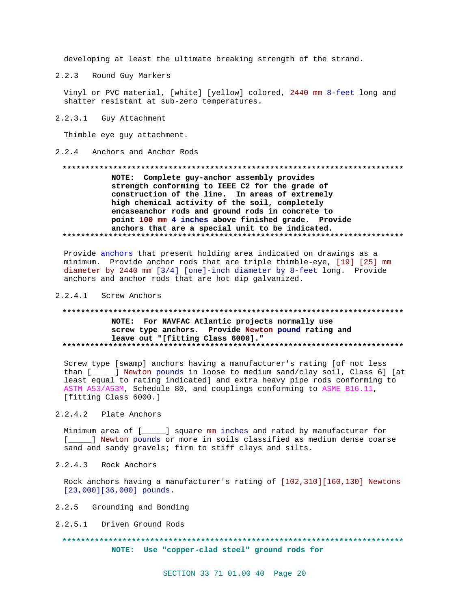developing at least the ultimate breaking strength of the strand.

 $2.2.3$ Round Guy Markers

Vinyl or PVC material, [white] [yellow] colored, 2440 mm 8-feet long and shatter resistant at sub-zero temperatures.

2.2.3.1 Guy Attachment

Thimble eye guy attachment.

#### 2.2.4 Anchors and Anchor Rods

# NOTE: Complete guy-anchor assembly provides strength conforming to IEEE C2 for the grade of construction of the line. In areas of extremely high chemical activity of the soil, completely encaseanchor rods and ground rods in concrete to point 100 mm 4 inches above finished grade. Provide anchors that are a special unit to be indicated.

Provide anchors that present holding area indicated on drawings as a minimum. Provide anchor rods that are triple thimble-eye, [19] [25] mm diameter by 2440 mm [3/4] [one]-inch diameter by 8-feet long. Provide anchors and anchor rods that are hot dip galvanized.

### 2.2.4.1 Screw Anchors

# NOTE: For NAVFAC Atlantic projects normally use screw type anchors. Provide Newton pound rating and leave out "[fitting Class 6000]."

Screw type [swamp] anchors having a manufacturer's rating [of not less than [\_\_\_\_\_] Newton pounds in loose to medium sand/clay soil, Class 6] [at least equal to rating indicated] and extra heavy pipe rods conforming to ASTM A53/A53M, Schedule 80, and couplings conforming to ASME B16.11, [fitting Class 6000.]

#### 2.2.4.2 Plate Anchors

Minimum area of [\_\_\_\_\_] square mm inches and rated by manufacturer for [ \_\_\_\_\_ ] Newton pounds or more in soils classified as medium dense coarse sand and sandy gravels; firm to stiff clays and silts.

 $2, 2, 4, 3$ Rock Anchors

Rock anchors having a manufacturer's rating of [102,310][160,130] Newtons  $[23,000][36,000]$  pounds.

- 2.2.5 Grounding and Bonding
- 2.2.5.1 Driven Ground Rods

# NOTE: Use "copper-clad steel" ground rods for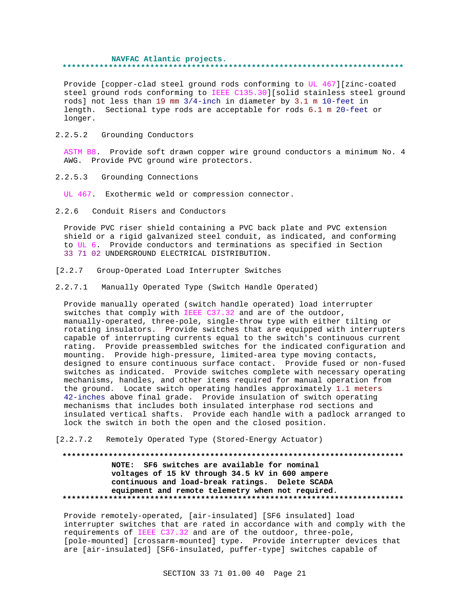#### **NAVFAC Atlantic projects. \*\*\*\*\*\*\*\*\*\*\*\*\*\*\*\*\*\*\*\*\*\*\*\*\*\*\*\*\*\*\*\*\*\*\*\*\*\*\*\*\*\*\*\*\*\*\*\*\*\*\*\*\*\*\*\*\*\*\*\*\*\*\*\*\*\*\*\*\*\*\*\*\*\***

Provide [copper-clad steel ground rods conforming to UL 467][zinc-coated steel ground rods conforming to IEEE C135.30][solid stainless steel ground rods] not less than 19 mm 3/4-inch in diameter by 3.1 m 10-feet in length. Sectional type rods are acceptable for rods 6.1 m 20-feet or longer.

2.2.5.2 Grounding Conductors

ASTM B8. Provide soft drawn copper wire ground conductors a minimum No. 4 AWG. Provide PVC ground wire protectors.

2.2.5.3 Grounding Connections

UL 467. Exothermic weld or compression connector.

2.2.6 Conduit Risers and Conductors

Provide PVC riser shield containing a PVC back plate and PVC extension shield or a rigid galvanized steel conduit, as indicated, and conforming to UL 6. Provide conductors and terminations as specified in Section 33 71 02 UNDERGROUND ELECTRICAL DISTRIBUTION.

- [2.2.7 Group-Operated Load Interrupter Switches
- 2.2.7.1 Manually Operated Type (Switch Handle Operated)

Provide manually operated (switch handle operated) load interrupter switches that comply with IEEE C37.32 and are of the outdoor, manually-operated, three-pole, single-throw type with either tilting or rotating insulators. Provide switches that are equipped with interrupters capable of interrupting currents equal to the switch's continuous current rating. Provide preassembled switches for the indicated configuration and mounting. Provide high-pressure, limited-area type moving contacts, designed to ensure continuous surface contact. Provide fused or non-fused switches as indicated. Provide switches complete with necessary operating mechanisms, handles, and other items required for manual operation from the ground. Locate switch operating handles approximately 1.1 meters 42-inches above final grade. Provide insulation of switch operating mechanisms that includes both insulated interphase rod sections and insulated vertical shafts. Provide each handle with a padlock arranged to lock the switch in both the open and the closed position.

[2.2.7.2 Remotely Operated Type (Stored-Energy Actuator)

# **\*\*\*\*\*\*\*\*\*\*\*\*\*\*\*\*\*\*\*\*\*\*\*\*\*\*\*\*\*\*\*\*\*\*\*\*\*\*\*\*\*\*\*\*\*\*\*\*\*\*\*\*\*\*\*\*\*\*\*\*\*\*\*\*\*\*\*\*\*\*\*\*\*\* NOTE: SF6 switches are available for nominal voltages of 15 kV through 34.5 kV in 600 ampere continuous and load-break ratings. Delete SCADA equipment and remote telemetry when not required. \*\*\*\*\*\*\*\*\*\*\*\*\*\*\*\*\*\*\*\*\*\*\*\*\*\*\*\*\*\*\*\*\*\*\*\*\*\*\*\*\*\*\*\*\*\*\*\*\*\*\*\*\*\*\*\*\*\*\*\*\*\*\*\*\*\*\*\*\*\*\*\*\*\***

Provide remotely-operated, [air-insulated] [SF6 insulated] load interrupter switches that are rated in accordance with and comply with the requirements of IEEE C37.32 and are of the outdoor, three-pole, [pole-mounted] [crossarm-mounted] type. Provide interrupter devices that are [air-insulated] [SF6-insulated, puffer-type] switches capable of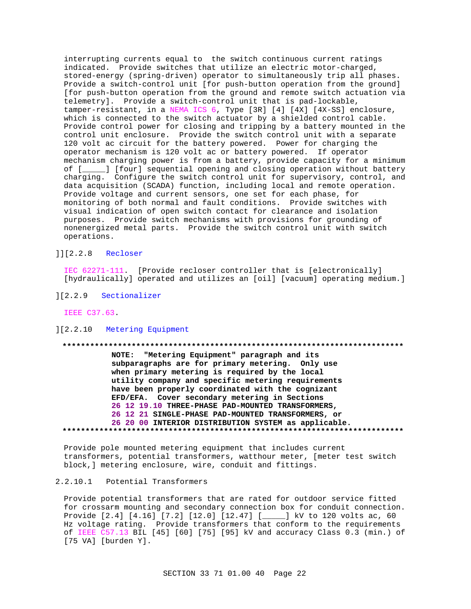interrupting currents equal to the switch continuous current ratings indicated. Provide switches that utilize an electric motor-charged, stored-energy (spring-driven) operator to simultaneously trip all phases. Provide a switch-control unit [for push-button operation from the ground] [for push-button operation from the ground and remote switch actuation via telemetry]. Provide a switch-control unit that is pad-lockable, tamper-resistant, in a NEMA ICS 6, Type [3R] [4] [4X] [4X-SS] enclosure, which is connected to the switch actuator by a shielded control cable. Provide control power for closing and tripping by a battery mounted in the control unit enclosure. Provide the switch control unit with a separate 120 volt ac circuit for the battery powered. Power for charging the operator mechanism is 120 volt ac or battery powered. If operator mechanism charging power is from a battery, provide capacity for a minimum of [\_\_\_\_\_] [four] sequential opening and closing operation without battery charging. Configure the switch control unit for supervisory, control, and data acquisition (SCADA) function, including local and remote operation. Provide voltage and current sensors, one set for each phase, for monitoring of both normal and fault conditions. Provide switches with visual indication of open switch contact for clearance and isolation purposes. Provide switch mechanisms with provisions for grounding of nonenergized metal parts. Provide the switch control unit with switch operations.

# ]][2.2.8 Recloser

IEC 62271-111. [Provide recloser controller that is [electronically] [hydraulically] operated and utilizes an [oil] [vacuum] operating medium.]

][2.2.9 Sectionalizer

IEEE C37.63.

#### ][2.2.10 Metering Equipment

# **\*\*\*\*\*\*\*\*\*\*\*\*\*\*\*\*\*\*\*\*\*\*\*\*\*\*\*\*\*\*\*\*\*\*\*\*\*\*\*\*\*\*\*\*\*\*\*\*\*\*\*\*\*\*\*\*\*\*\*\*\*\*\*\*\*\*\*\*\*\*\*\*\*\***

**NOTE: "Metering Equipment" paragraph and its subparagraphs are for primary metering. Only use when primary metering is required by the local utility company and specific metering requirements have been properly coordinated with the cognizant EFD/EFA. Cover secondary metering in Sections 26 12 19.10 THREE-PHASE PAD-MOUNTED TRANSFORMERS, 26 12 21 SINGLE-PHASE PAD-MOUNTED TRANSFORMERS, or 26 20 00 INTERIOR DISTRIBUTION SYSTEM as applicable. \*\*\*\*\*\*\*\*\*\*\*\*\*\*\*\*\*\*\*\*\*\*\*\*\*\*\*\*\*\*\*\*\*\*\*\*\*\*\*\*\*\*\*\*\*\*\*\*\*\*\*\*\*\*\*\*\*\*\*\*\*\*\*\*\*\*\*\*\*\*\*\*\*\***

Provide pole mounted metering equipment that includes current transformers, potential transformers, watthour meter, [meter test switch block,] metering enclosure, wire, conduit and fittings.

# 2.2.10.1 Potential Transformers

Provide potential transformers that are rated for outdoor service fitted for crossarm mounting and secondary connection box for conduit connection. Provide [2.4] [4.16] [7.2] [12.0] [12.47] [\_\_\_\_\_] kV to 120 volts ac, 60 Hz voltage rating. Provide transformers that conform to the requirements of IEEE C57.13 BIL [45] [60] [75] [95] kV and accuracy Class 0.3 (min.) of [75 VA] [burden Y].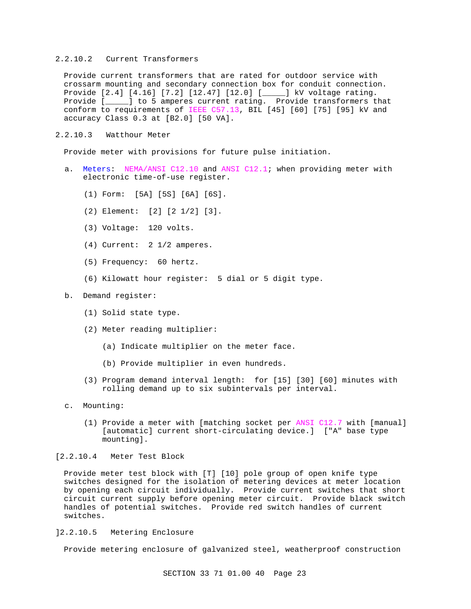## 2.2.10.2 Current Transformers

Provide current transformers that are rated for outdoor service with crossarm mounting and secondary connection box for conduit connection. Provide [2.4] [4.16] [7.2] [12.47] [12.0] [\_\_\_\_\_] kV voltage rating. Provide [\_\_\_\_\_] to 5 amperes current rating. Provide transformers that conform to requirements of IEEE C57.13, BIL [45] [60] [75] [95] kV and accuracy Class 0.3 at [B2.0] [50 VA].

2.2.10.3 Watthour Meter

Provide meter with provisions for future pulse initiation.

- a. Meters: NEMA/ANSI C12.10 and ANSI C12.1; when providing meter with electronic time-of-use register.
	- (1) Form: [5A] [5S] [6A] [6S].
	- (2) Element: [2] [2 1/2] [3].
	- (3) Voltage: 120 volts.
	- (4) Current: 2 1/2 amperes.
	- (5) Frequency: 60 hertz.
	- (6) Kilowatt hour register: 5 dial or 5 digit type.

#### b. Demand register:

- (1) Solid state type.
- (2) Meter reading multiplier:
	- (a) Indicate multiplier on the meter face.
	- (b) Provide multiplier in even hundreds.
- (3) Program demand interval length: for [15] [30] [60] minutes with rolling demand up to six subintervals per interval.
- c. Mounting:
	- (1) Provide a meter with [matching socket per ANSI C12.7 with [manual] [automatic] current short-circulating device.] ["A" base type mounting].

## [2.2.10.4 Meter Test Block

Provide meter test block with [T] [10] pole group of open knife type switches designed for the isolation of metering devices at meter location by opening each circuit individually. Provide current switches that short circuit current supply before opening meter circuit. Provide black switch handles of potential switches. Provide red switch handles of current switches.

## ]2.2.10.5 Metering Enclosure

Provide metering enclosure of galvanized steel, weatherproof construction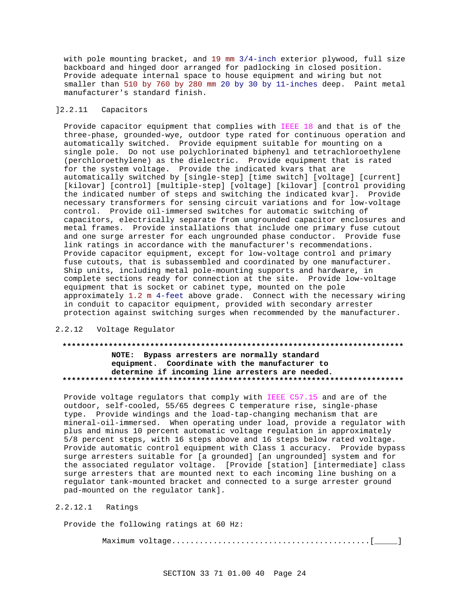with pole mounting bracket, and 19 mm 3/4-inch exterior plywood, full size backboard and hinged door arranged for padlocking in closed position. Provide adequate internal space to house equipment and wiring but not smaller than 510 by 760 by 280 mm 20 by 30 by 11-inches deep. Paint metal manufacturer's standard finish.

# ]2.2.11 Capacitors

Provide capacitor equipment that complies with IEEE 18 and that is of the three-phase, grounded-wye, outdoor type rated for continuous operation and automatically switched. Provide equipment suitable for mounting on a single pole. Do not use polychlorinated biphenyl and tetrachloroethylene (perchloroethylene) as the dielectric. Provide equipment that is rated for the system voltage. Provide the indicated kvars that are automatically switched by [single-step] [time switch] [voltage] [current] [kilovar] [control] [multiple-step] [voltage] [kilovar] [control providing the indicated number of steps and switching the indicated kvar]. Provide necessary transformers for sensing circuit variations and for low-voltage control. Provide oil-immersed switches for automatic switching of capacitors, electrically separate from ungrounded capacitor enclosures and metal frames. Provide installations that include one primary fuse cutout and one surge arrester for each ungrounded phase conductor. Provide fuse link ratings in accordance with the manufacturer's recommendations. Provide capacitor equipment, except for low-voltage control and primary fuse cutouts, that is subassembled and coordinated by one manufacturer. Ship units, including metal pole-mounting supports and hardware, in complete sections ready for connection at the site. Provide low-voltage equipment that is socket or cabinet type, mounted on the pole approximately 1.2 m 4-feet above grade. Connect with the necessary wiring in conduit to capacitor equipment, provided with secondary arrester protection against switching surges when recommended by the manufacturer.

# 2.2.12 Voltage Regulator

# **\*\*\*\*\*\*\*\*\*\*\*\*\*\*\*\*\*\*\*\*\*\*\*\*\*\*\*\*\*\*\*\*\*\*\*\*\*\*\*\*\*\*\*\*\*\*\*\*\*\*\*\*\*\*\*\*\*\*\*\*\*\*\*\*\*\*\*\*\*\*\*\*\*\* NOTE: Bypass arresters are normally standard equipment. Coordinate with the manufacturer to determine if incoming line arresters are needed. \*\*\*\*\*\*\*\*\*\*\*\*\*\*\*\*\*\*\*\*\*\*\*\*\*\*\*\*\*\*\*\*\*\*\*\*\*\*\*\*\*\*\*\*\*\*\*\*\*\*\*\*\*\*\*\*\*\*\*\*\*\*\*\*\*\*\*\*\*\*\*\*\*\***

Provide voltage regulators that comply with IEEE C57.15 and are of the outdoor, self-cooled, 55/65 degrees C temperature rise, single-phase type. Provide windings and the load-tap-changing mechanism that are mineral-oil-immersed. When operating under load, provide a regulator with plus and minus 10 percent automatic voltage regulation in approximately 5/8 percent steps, with 16 steps above and 16 steps below rated voltage. Provide automatic control equipment with Class 1 accuracy. Provide bypass surge arresters suitable for [a grounded] [an ungrounded] system and for the associated regulator voltage. [Provide [station] [intermediate] class surge arresters that are mounted next to each incoming line bushing on a regulator tank-mounted bracket and connected to a surge arrester ground pad-mounted on the regulator tank].

# 2.2.12.1 Ratings

Provide the following ratings at 60 Hz:

Maximum voltage...........................................[\_\_\_\_\_]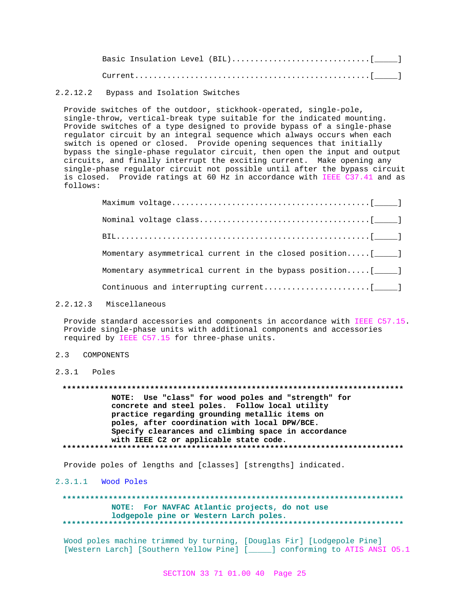# 2.2.12.2 Bypass and Isolation Switches

Provide switches of the outdoor, stickhook-operated, single-pole, single-throw, vertical-break type suitable for the indicated mounting. Provide switches of a type designed to provide bypass of a single-phase regulator circuit by an integral sequence which always occurs when each switch is opened or closed. Provide opening sequences that initially bypass the single-phase regulator circuit, then open the input and output circuits, and finally interrupt the exciting current. Make opening any single-phase regulator circuit not possible until after the bypass circuit is closed. Provide ratings at 60 Hz in accordance with IEEE C37.41 and as follows:

| Momentary asymmetrical current in the closed position $[\_\_]$ |
|----------------------------------------------------------------|
| Momentary asymmetrical current in the bypass position [_____]  |
|                                                                |

#### 2.2.12.3 Miscellaneous

Provide standard accessories and components in accordance with IEEE C57.15. Provide single-phase units with additional components and accessories required by IEEE C57.15 for three-phase units.

#### 2.3 COMPONENTS

# 2.3.1 Poles

**\*\*\*\*\*\*\*\*\*\*\*\*\*\*\*\*\*\*\*\*\*\*\*\*\*\*\*\*\*\*\*\*\*\*\*\*\*\*\*\*\*\*\*\*\*\*\*\*\*\*\*\*\*\*\*\*\*\*\*\*\*\*\*\*\*\*\*\*\*\*\*\*\*\***

**NOTE: Use "class" for wood poles and "strength" for concrete and steel poles. Follow local utility practice regarding grounding metallic items on poles, after coordination with local DPW/BCE. Specify clearances and climbing space in accordance with IEEE C2 or applicable state code. \*\*\*\*\*\*\*\*\*\*\*\*\*\*\*\*\*\*\*\*\*\*\*\*\*\*\*\*\*\*\*\*\*\*\*\*\*\*\*\*\*\*\*\*\*\*\*\*\*\*\*\*\*\*\*\*\*\*\*\*\*\*\*\*\*\*\*\*\*\*\*\*\*\***

Provide poles of lengths and [classes] [strengths] indicated.

# 2.3.1.1 Wood Poles

# **\*\*\*\*\*\*\*\*\*\*\*\*\*\*\*\*\*\*\*\*\*\*\*\*\*\*\*\*\*\*\*\*\*\*\*\*\*\*\*\*\*\*\*\*\*\*\*\*\*\*\*\*\*\*\*\*\*\*\*\*\*\*\*\*\*\*\*\*\*\*\*\*\*\* NOTE: For NAVFAC Atlantic projects, do not use lodgepole pine or Western Larch poles. \*\*\*\*\*\*\*\*\*\*\*\*\*\*\*\*\*\*\*\*\*\*\*\*\*\*\*\*\*\*\*\*\*\*\*\*\*\*\*\*\*\*\*\*\*\*\*\*\*\*\*\*\*\*\*\*\*\*\*\*\*\*\*\*\*\*\*\*\*\*\*\*\*\***

Wood poles machine trimmed by turning, [Douglas Fir] [Lodgepole Pine] [Western Larch] [Southern Yellow Pine] [\_\_\_\_\_] conforming to ATIS ANSI O5.1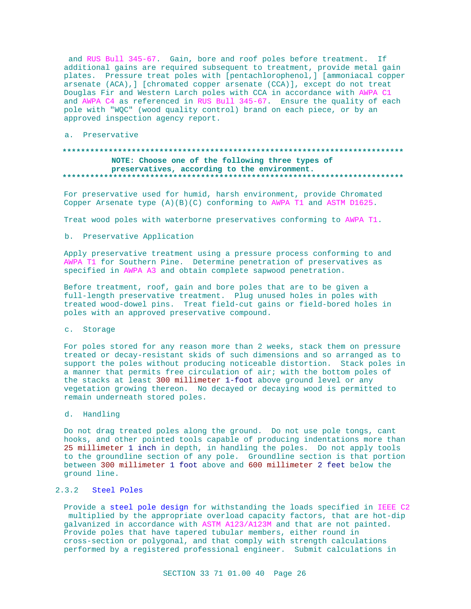and RUS Bull 345-67. Gain, bore and roof poles before treatment. If additional gains are required subsequent to treatment, provide metal gain plates. Pressure treat poles with [pentachlorophenol,] [ammoniacal copper arsenate (ACA), ] [chromated copper arsenate (CCA)], except do not treat Douglas Fir and Western Larch poles with CCA in accordance with AWPA C1 and AWPA C4 as referenced in RUS Bull 345-67. Ensure the quality of each pole with "WQC" (wood quality control) brand on each piece, or by an approved inspection agency report.

a. Preservative

# NOTE: Choose one of the following three types of preservatives, according to the environment.

For preservative used for humid, harsh environment, provide Chromated Copper Arsenate type  $(A)(B)(C)$  conforming to AWPA T1 and ASTM D1625.

Treat wood poles with waterborne preservatives conforming to AWPA T1.

### b. Preservative Application

Apply preservative treatment using a pressure process conforming to and AWPA T1 for Southern Pine. Determine penetration of preservatives as specified in AWPA A3 and obtain complete sapwood penetration.

Before treatment, roof, gain and bore poles that are to be given a full-length preservative treatment. Plug unused holes in poles with treated wood-dowel pins. Treat field-cut gains or field-bored holes in poles with an approved preservative compound.

#### c. Storage

For poles stored for any reason more than 2 weeks, stack them on pressure treated or decay-resistant skids of such dimensions and so arranged as to support the poles without producing noticeable distortion. Stack poles in a manner that permits free circulation of air; with the bottom poles of the stacks at least 300 millimeter 1-foot above ground level or any vegetation growing thereon. No decayed or decaying wood is permitted to remain underneath stored poles.

# d. Handling

Do not drag treated poles along the ground. Do not use pole tongs, cant hooks, and other pointed tools capable of producing indentations more than 25 millimeter 1 inch in depth, in handling the poles. Do not apply tools to the groundline section of any pole. Groundline section is that portion between 300 millimeter 1 foot above and 600 millimeter 2 feet below the ground line.

# 2.3.2 Steel Poles

Provide a steel pole design for withstanding the loads specified in IEEE C2 multiplied by the appropriate overload capacity factors, that are hot-dip galvanized in accordance with ASTM A123/A123M and that are not painted. Provide poles that have tapered tubular members, either round in cross-section or polygonal, and that comply with strength calculations performed by a registered professional engineer. Submit calculations in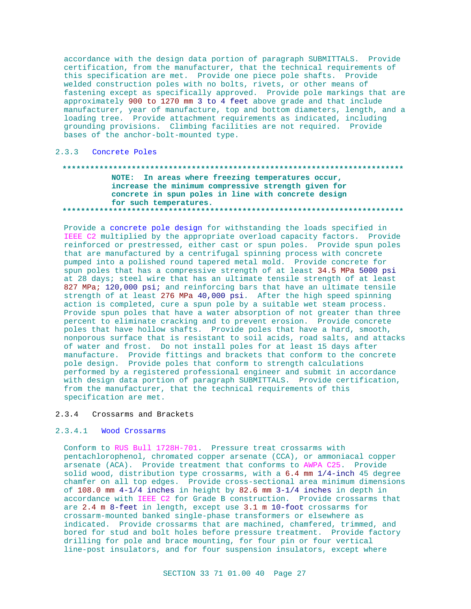accordance with the design data portion of paragraph SUBMITTALS. Provide certification, from the manufacturer, that the technical requirements of this specification are met. Provide one piece pole shafts. Provide welded construction poles with no bolts, rivets, or other means of fastening except as specifically approved. Provide pole markings that are approximately 900 to 1270 mm 3 to 4 feet above grade and that include manufacturer, year of manufacture, top and bottom diameters, length, and a loading tree. Provide attachment requirements as indicated, including grounding provisions. Climbing facilities are not required. Provide bases of the anchor-bolt-mounted type.

# 2.3.3 Concrete Poles

# NOTE: In areas where freezing temperatures occur, increase the minimum compressive strength given for concrete in spun poles in line with concrete design for such temperatures.

Provide a concrete pole design for withstanding the loads specified in IEEE C2 multiplied by the appropriate overload capacity factors. Provide reinforced or prestressed, either cast or spun poles. Provide spun poles that are manufactured by a centrifugal spinning process with concrete pumped into a polished round tapered metal mold. Provide concrete for spun poles that has a compressive strength of at least 34.5 MPa 5000 psi at 28 days; steel wire that has an ultimate tensile strength of at least 827 MPa; 120,000 psi; and reinforcing bars that have an ultimate tensile strength of at least 276 MPa 40,000 psi. After the high speed spinning action is completed, cure a spun pole by a suitable wet steam process. Provide spun poles that have a water absorption of not greater than three percent to eliminate cracking and to prevent erosion. Provide concrete poles that have hollow shafts. Provide poles that have a hard, smooth, nonporous surface that is resistant to soil acids, road salts, and attacks of water and frost. Do not install poles for at least 15 days after manufacture. Provide fittings and brackets that conform to the concrete pole design. Provide poles that conform to strength calculations performed by a registered professional engineer and submit in accordance with design data portion of paragraph SUBMITTALS. Provide certification, from the manufacturer, that the technical requirements of this specification are met.

#### $2.3.4$ Crossarms and Brackets

#### $2.3.4.1$ Wood Crossarms

Conform to RUS Bull 1728H-701. Pressure treat crossarms with pentachlorophenol, chromated copper arsenate (CCA), or ammoniacal copper arsenate (ACA). Provide treatment that conforms to AWPA C25. Provide solid wood, distribution type crossarms, with a 6.4 mm 1/4-inch 45 degree chamfer on all top edges. Provide cross-sectional area minimum dimensions of 108.0 mm  $4-1/4$  inches in height by 82.6 mm  $3-1/4$  inches in depth in accordance with IEEE C2 for Grade B construction. Provide crossarms that are 2.4 m 8-feet in length, except use 3.1 m 10-foot crossarms for crossarm-mounted banked single-phase transformers or elsewhere as indicated. Provide crossarms that are machined, chamfered, trimmed, and bored for stud and bolt holes before pressure treatment. Provide factory drilling for pole and brace mounting, for four pin or four vertical line-post insulators, and for four suspension insulators, except where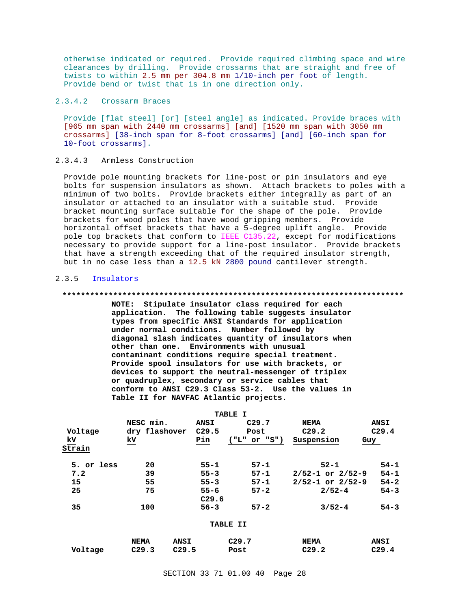otherwise indicated or required. Provide required climbing space and wire clearances by drilling. Provide crossarms that are straight and free of twists to within 2.5 mm per 304.8 mm 1/10-inch per foot of length. Provide bend or twist that is in one direction only.

## 2.3.4.2 Crossarm Braces

Provide [flat steel] [or] [steel angle] as indicated. Provide braces with [965 mm span with 2440 mm crossarms] [and] [1520 mm span with 3050 mm crossarms] [38-inch span for 8-foot crossarms] [and] [60-inch span for 10-foot crossarms].

### 2.3.4.3 Armless Construction

Provide pole mounting brackets for line-post or pin insulators and eye bolts for suspension insulators as shown. Attach brackets to poles with a minimum of two bolts. Provide brackets either integrally as part of an insulator or attached to an insulator with a suitable stud. Provide bracket mounting surface suitable for the shape of the pole. Provide brackets for wood poles that have wood gripping members. Provide horizontal offset brackets that have a 5-degree uplift angle. Provide pole top brackets that conform to IEEE C135.22, except for modifications necessary to provide support for a line-post insulator. Provide brackets that have a strength exceeding that of the required insulator strength, but in no case less than a 12.5 kN 2800 pound cantilever strength.

#### 2.3.5 Insulators

#### **\*\*\*\*\*\*\*\*\*\*\*\*\*\*\*\*\*\*\*\*\*\*\*\*\*\*\*\*\*\*\*\*\*\*\*\*\*\*\*\*\*\*\*\*\*\*\*\*\*\*\*\*\*\*\*\*\*\*\*\*\*\*\*\*\*\*\*\*\*\*\*\*\*\***

**NOTE: Stipulate insulator class required for each application. The following table suggests insulator types from specific ANSI Standards for application under normal conditions. Number followed by diagonal slash indicates quantity of insulators when other than one. Environments with unusual contaminant conditions require special treatment. Provide spool insulators for use with brackets, or devices to support the neutral-messenger of triplex or quadruplex, secondary or service cables that conform to ANSI C29.3 Class 53-2. Use the values in Table II for NAVFAC Atlantic projects.**

|            |                            |                   | <b>TABLE I</b>    |                          |                   |
|------------|----------------------------|-------------------|-------------------|--------------------------|-------------------|
|            | NESC min.                  | <b>ANSI</b>       | C <sub>29.7</sub> | NEMA                     | <b>ANSI</b>       |
| Voltage    | dry flashover              | C <sub>29.5</sub> | Post              | C <sub>29.2</sub>        | C <sub>29.4</sub> |
| kv         | kv                         | Pin               | ("L" or "S")      | Suspension               | Guy               |
| Strain     |                            |                   |                   |                          |                   |
| 5. or less | 20                         | $55 - 1$          | $57 - 1$          | $52 - 1$                 | $54 - 1$          |
| 7.2        | 39                         | $55 - 3$          | $57 - 1$          | $2/52 - 1$ or $2/52 - 9$ | $54 - 1$          |
| 15         | 55                         | $55 - 3$          | $57 - 1$          | $2/52 - 1$ or $2/52 - 9$ | $54 - 2$          |
| 25         | 75                         | $55 - 6$          | $57 - 2$          | $2/52 - 4$               | $54 - 3$          |
|            |                            | C <sub>29.6</sub> |                   |                          |                   |
| 35         | 100                        | $56 - 3$          | $57 - 2$          | $3/52 - 4$               | $54 - 3$          |
|            |                            |                   | TABLE II          |                          |                   |
|            | <b>ANSI</b><br><b>NEMA</b> |                   | C <sub>29.7</sub> | <b>NEMA</b>              | <b>ANSI</b>       |

**Voltage C29.3 C29.5 Post C29.2 C29.4**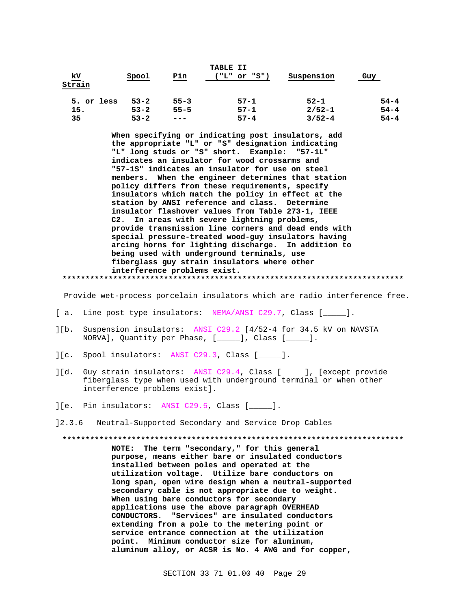| <u>kV</u><br>Strain | Spool    | Pin      | TABLE II<br>("L" or "S") | Suspension | Guy      |
|---------------------|----------|----------|--------------------------|------------|----------|
| 5. or less          | $53 - 2$ | $55 - 3$ | $57 - 1$                 | $52 - 1$   | $54 - 4$ |
| 15.                 | $53 - 2$ | $55 - 5$ | $57 - 1$                 | $2/52 - 1$ | $54 - 4$ |
| 35                  | $53 - 2$ | $- - -$  | $57 - 4$                 | $3/52 - 4$ | $54 - 4$ |

**When specifying or indicating post insulators, add the appropriate "L" or "S" designation indicating "L" long studs or "S" short. Example: "57-1L" indicates an insulator for wood crossarms and "57-1S" indicates an insulator for use on steel members. When the engineer determines that station policy differs from these requirements, specify insulators which match the policy in effect at the station by ANSI reference and class. Determine insulator flashover values from Table 273-1, IEEE C2. In areas with severe lightning problems, provide transmission line corners and dead ends with special pressure-treated wood-guy insulators having arcing horns for lighting discharge. In addition to being used with underground terminals, use fiberglass guy strain insulators where other interference problems exist. \*\*\*\*\*\*\*\*\*\*\*\*\*\*\*\*\*\*\*\*\*\*\*\*\*\*\*\*\*\*\*\*\*\*\*\*\*\*\*\*\*\*\*\*\*\*\*\*\*\*\*\*\*\*\*\*\*\*\*\*\*\*\*\*\*\*\*\*\*\*\*\*\*\***

Provide wet-process porcelain insulators which are radio interference free.

- [ a. Line post type insulators: NEMA/ANSI C29.7, Class [ \_\_\_\_ ].
- ][b. Suspension insulators: ANSI C29.2 [4/52-4 for 34.5 kV on NAVSTA NORVA], Quantity per Phase, [\_\_\_\_\_], Class [\_\_\_\_\_].
- ][c. Spool insulators: ANSI C29.3, Class [\_\_\_\_\_].
- ][d. Guy strain insulators: ANSI C29.4, Class [\_\_\_\_\_], [except provide fiberglass type when used with underground terminal or when other interference problems exist].
- ][e. Pin insulators: ANSI C29.5, Class [\_\_\_\_\_].
- ]2.3.6 Neutral-Supported Secondary and Service Drop Cables

**\*\*\*\*\*\*\*\*\*\*\*\*\*\*\*\*\*\*\*\*\*\*\*\*\*\*\*\*\*\*\*\*\*\*\*\*\*\*\*\*\*\*\*\*\*\*\*\*\*\*\*\*\*\*\*\*\*\*\*\*\*\*\*\*\*\*\*\*\*\*\*\*\*\***

**NOTE: The term "secondary," for this general purpose, means either bare or insulated conductors installed between poles and operated at the utilization voltage. Utilize bare conductors on long span, open wire design when a neutral-supported secondary cable is not appropriate due to weight. When using bare conductors for secondary applications use the above paragraph OVERHEAD CONDUCTORS. "Services" are insulated conductors extending from a pole to the metering point or service entrance connection at the utilization point. Minimum conductor size for aluminum, aluminum alloy, or ACSR is No. 4 AWG and for copper,**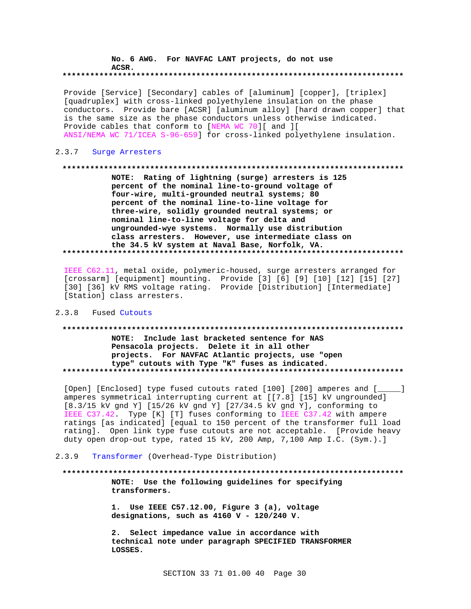# **No. 6 AWG. For NAVFAC LANT projects, do not use ACSR.**

# **\*\*\*\*\*\*\*\*\*\*\*\*\*\*\*\*\*\*\*\*\*\*\*\*\*\*\*\*\*\*\*\*\*\*\*\*\*\*\*\*\*\*\*\*\*\*\*\*\*\*\*\*\*\*\*\*\*\*\*\*\*\*\*\*\*\*\*\*\*\*\*\*\*\***

Provide [Service] [Secondary] cables of [aluminum] [copper], [triplex] [quadruplex] with cross-linked polyethylene insulation on the phase conductors. Provide bare [ACSR] [aluminum alloy] [hard drawn copper] that is the same size as the phase conductors unless otherwise indicated. Provide cables that conform to [NEMA WC 70][ and ][ ANSI/NEMA WC 71/ICEA S-96-659] for cross-linked polyethylene insulation.

## 2.3.7 Surge Arresters

#### **\*\*\*\*\*\*\*\*\*\*\*\*\*\*\*\*\*\*\*\*\*\*\*\*\*\*\*\*\*\*\*\*\*\*\*\*\*\*\*\*\*\*\*\*\*\*\*\*\*\*\*\*\*\*\*\*\*\*\*\*\*\*\*\*\*\*\*\*\*\*\*\*\*\***

**NOTE: Rating of lightning (surge) arresters is 125 percent of the nominal line-to-ground voltage of four-wire, multi-grounded neutral systems; 80 percent of the nominal line-to-line voltage for three-wire, solidly grounded neutral systems; or nominal line-to-line voltage for delta and ungrounded-wye systems. Normally use distribution class arresters. However, use intermediate class on the 34.5 kV system at Naval Base, Norfolk, VA. \*\*\*\*\*\*\*\*\*\*\*\*\*\*\*\*\*\*\*\*\*\*\*\*\*\*\*\*\*\*\*\*\*\*\*\*\*\*\*\*\*\*\*\*\*\*\*\*\*\*\*\*\*\*\*\*\*\*\*\*\*\*\*\*\*\*\*\*\*\*\*\*\*\***

IEEE C62.11, metal oxide, polymeric-housed, surge arresters arranged for [crossarm] [equipment] mounting. Provide [3] [6] [9] [10] [12] [15] [27] [30] [36] kV RMS voltage rating. Provide [Distribution] [Intermediate] [Station] class arresters.

# 2.3.8 Fused Cutouts

# **\*\*\*\*\*\*\*\*\*\*\*\*\*\*\*\*\*\*\*\*\*\*\*\*\*\*\*\*\*\*\*\*\*\*\*\*\*\*\*\*\*\*\*\*\*\*\*\*\*\*\*\*\*\*\*\*\*\*\*\*\*\*\*\*\*\*\*\*\*\*\*\*\*\* NOTE: Include last bracketed sentence for NAS Pensacola projects. Delete it in all other projects. For NAVFAC Atlantic projects, use "open type" cutouts with Type "K" fuses as indicated. \*\*\*\*\*\*\*\*\*\*\*\*\*\*\*\*\*\*\*\*\*\*\*\*\*\*\*\*\*\*\*\*\*\*\*\*\*\*\*\*\*\*\*\*\*\*\*\*\*\*\*\*\*\*\*\*\*\*\*\*\*\*\*\*\*\*\*\*\*\*\*\*\*\***

[Open] [Enclosed] type fused cutouts rated [100] [200] amperes and [ amperes symmetrical interrupting current at [[7.8] [15] kV ungrounded] [8.3/15 kV gnd Y] [15/26 kV gnd Y] [27/34.5 kV gnd Y], conforming to IEEE C37.42. Type [K] [T] fuses conforming to IEEE C37.42 with ampere ratings [as indicated] [equal to 150 percent of the transformer full load rating]. Open link type fuse cutouts are not acceptable. [Provide heavy duty open drop-out type, rated 15 kV, 200 Amp, 7,100 Amp I.C. (Sym.).]

## 2.3.9 Transformer (Overhead-Type Distribution)

# **\*\*\*\*\*\*\*\*\*\*\*\*\*\*\*\*\*\*\*\*\*\*\*\*\*\*\*\*\*\*\*\*\*\*\*\*\*\*\*\*\*\*\*\*\*\*\*\*\*\*\*\*\*\*\*\*\*\*\*\*\*\*\*\*\*\*\*\*\*\*\*\*\*\* NOTE: Use the following guidelines for specifying transformers.**

**1. Use IEEE C57.12.00, Figure 3 (a), voltage designations, such as 4160 V - 120/240 V.**

**2. Select impedance value in accordance with technical note under paragraph SPECIFIED TRANSFORMER LOSSES.**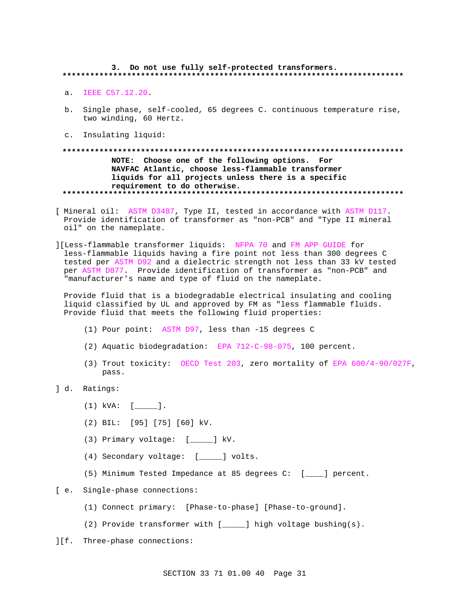# 3. Do not use fully self-protected transformers.

- a. IEEE C57.12.20.
- b. Single phase, self-cooled, 65 degrees C. continuous temperature rise, two winding, 60 Hertz.
- c. Insulating liquid:

# NOTE: Choose one of the following options. For NAVFAC Atlantic, choose less-flammable transformer liquids for all projects unless there is a specific requirement to do otherwise.

- [ Mineral oil: ASTM D3487, Type II, tested in accordance with ASTM D117. Provide identification of transformer as "non-PCB" and "Type II mineral oil" on the nameplate.
- ][Less-flammable transformer liquids: NFPA 70 and FM APP GUIDE for less-flammable liquids having a fire point not less than 300 degrees C tested per ASTM D92 and a dielectric strength not less than 33 kV tested per ASTM D877. Provide identification of transformer as "non-PCB" and "manufacturer's name and type of fluid on the nameplate.

Provide fluid that is a biodegradable electrical insulating and cooling liquid classified by UL and approved by FM as "less flammable fluids. Provide fluid that meets the following fluid properties:

- (1) Pour point: ASTM D97, less than -15 degrees C
- (2) Aquatic biodegradation: EPA 712-C-98-075, 100 percent.
- (3) Trout toxicity: OECD Test 203, zero mortality of EPA 600/4-90/027F, pass.
- d. Ratings:
	- $(1)$  kVA:  $[$  [ ].
	- (2) BIL: [95] [75] [60] kV.
	- (3) Primary voltage: [\_\_\_\_\_] kV.
	- (4) Secondary voltage: [\_\_\_\_\_] volts.
	- (5) Minimum Tested Impedance at 85 degrees C: [\_\_\_\_] percent.
- [ e. Single-phase connections:
	- (1) Connect primary: [Phase-to-phase] [Phase-to-ground].
	- (2) Provide transformer with [\_\_\_\_\_] high voltage bushing(s).
- ][f. Three-phase connections: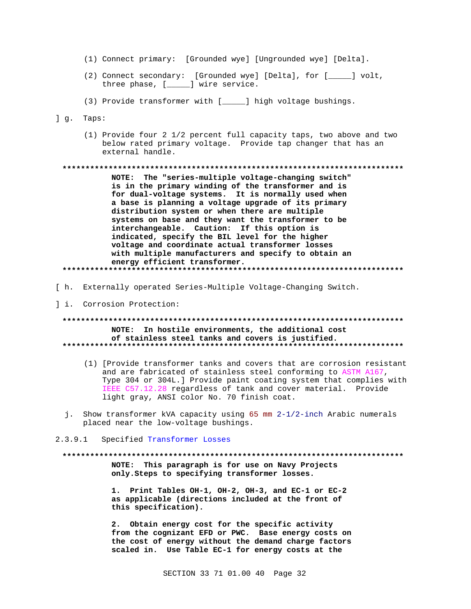- (1) Connect primary: [Grounded wye] [Ungrounded wye] [Delta].
- (2) Connect secondary: [Grounded wye] [Delta], for [\_\_\_\_] volt, three phase, [\_\_\_\_\_] wire service.
- (3) Provide transformer with [\_\_\_\_\_] high voltage bushings.
- ] g. Taps:
	- (1) Provide four 2 1/2 percent full capacity taps, two above and two below rated primary voltage. Provide tap changer that has an external handle.

NOTE: The "series-multiple voltage-changing switch" is in the primary winding of the transformer and is for dual-voltage systems. It is normally used when a base is planning a voltage upgrade of its primary distribution system or when there are multiple systems on base and they want the transformer to be interchangeable. Caution: If this option is indicated, specify the BIL level for the higher voltage and coordinate actual transformer losses with multiple manufacturers and specify to obtain an energy efficient transformer. \*\*\*\*\*\*\*\*\*\*\*\*\*\*

- [ h. Externally operated Series-Multiple Voltage-Changing Switch.
- ] i. Corrosion Protection:

NOTE: In hostile environments, the additional cost of stainless steel tanks and covers is justified. 

- (1) [Provide transformer tanks and covers that are corrosion resistant and are fabricated of stainless steel conforming to ASTM A167, Type 304 or 304L.] Provide paint coating system that complies with IEEE C57.12.28 regardless of tank and cover material. Provide light gray, ANSI color No. 70 finish coat.
- j. Show transformer kVA capacity using 65 mm 2-1/2-inch Arabic numerals placed near the low-voltage bushings.

#### $2.3.9.1$ Specified Transformer Losses

NOTE: This paragraph is for use on Navy Projects only. Steps to specifying transformer losses.

1. Print Tables OH-1, OH-2, OH-3, and EC-1 or EC-2 as applicable (directions included at the front of this specification).

2. Obtain energy cost for the specific activity from the cognizant EFD or PWC. Base energy costs on the cost of energy without the demand charge factors scaled in. Use Table EC-1 for energy costs at the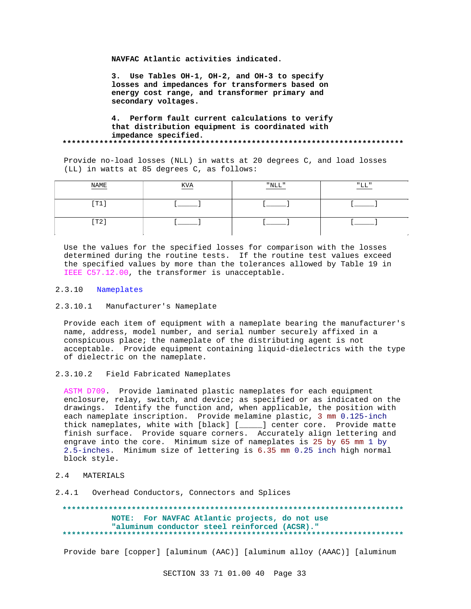**NAVFAC Atlantic activities indicated.**

**3. Use Tables OH-1, OH-2, and OH-3 to specify losses and impedances for transformers based on energy cost range, and transformer primary and secondary voltages.**

#### **4. Perform fault current calculations to verify that distribution equipment is coordinated with impedance specified. \*\*\*\*\*\*\*\*\*\*\*\*\*\*\*\*\*\*\*\*\*\*\*\*\*\*\*\*\*\*\*\*\*\*\*\*\*\*\*\*\*\*\*\*\*\*\*\*\*\*\*\*\*\*\*\*\*\*\*\*\*\*\*\*\*\*\*\*\*\*\*\*\*\***

Provide no-load losses (NLL) in watts at 20 degrees C, and load losses (LL) in watts at 85 degrees C, as follows:

| $\ensuremath{\mathsf{NAME}}$ | $\underline{\text{KVA}}$ | $\mathrm{"NLL"}$ | "T.T. |
|------------------------------|--------------------------|------------------|-------|
| $[\, \texttt{T1}\,]$         |                          |                  |       |
| [T2]                         |                          |                  |       |

Use the values for the specified losses for comparison with the losses determined during the routine tests. If the routine test values exceed the specified values by more than the tolerances allowed by Table 19 in IEEE C57.12.00, the transformer is unacceptable.

#### 2.3.10 Nameplates

2.3.10.1 Manufacturer's Nameplate

Provide each item of equipment with a nameplate bearing the manufacturer's name, address, model number, and serial number securely affixed in a conspicuous place; the nameplate of the distributing agent is not acceptable. Provide equipment containing liquid-dielectrics with the type of dielectric on the nameplate.

2.3.10.2 Field Fabricated Nameplates

ASTM D709. Provide laminated plastic nameplates for each equipment enclosure, relay, switch, and device; as specified or as indicated on the drawings. Identify the function and, when applicable, the position with each nameplate inscription. Provide melamine plastic, 3 mm 0.125-inch thick nameplates, white with [black] [\_\_\_\_\_] center core. Provide matte finish surface. Provide square corners. Accurately align lettering and engrave into the core. Minimum size of nameplates is 25 by 65 mm 1 by 2.5-inches. Minimum size of lettering is 6.35 mm 0.25 inch high normal block style.

## 2.4 MATERIALS

2.4.1 Overhead Conductors, Connectors and Splices

**\*\*\*\*\*\*\*\*\*\*\*\*\*\*\*\*\*\*\*\*\*\*\*\*\*\*\*\*\*\*\*\*\*\*\*\*\*\*\*\*\*\*\*\*\*\*\*\*\*\*\*\*\*\*\*\*\*\*\*\*\*\*\*\*\*\*\*\*\*\*\*\*\*\* NOTE: For NAVFAC Atlantic projects, do not use "aluminum conductor steel reinforced (ACSR)." \*\*\*\*\*\*\*\*\*\*\*\*\*\*\*\*\*\*\*\*\*\*\*\*\*\*\*\*\*\*\*\*\*\*\*\*\*\*\*\*\*\*\*\*\*\*\*\*\*\*\*\*\*\*\*\*\*\*\*\*\*\*\*\*\*\*\*\*\*\*\*\*\*\***

Provide bare [copper] [aluminum (AAC)] [aluminum alloy (AAAC)] [aluminum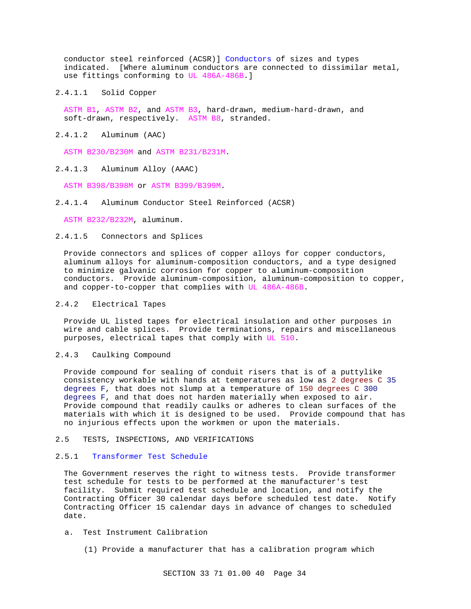conductor steel reinforced (ACSR)] Conductors of sizes and types indicated. [Where aluminum conductors are connected to dissimilar metal, use fittings conforming to UL 486A-486B.]

2.4.1.1 Solid Copper

ASTM B1, ASTM B2, and ASTM B3, hard-drawn, medium-hard-drawn, and soft-drawn, respectively. ASTM B8, stranded.

2.4.1.2 Aluminum (AAC)

ASTM B230/B230M and ASTM B231/B231M.

2.4.1.3 Aluminum Alloy (AAAC)

ASTM B398/B398M or ASTM B399/B399M.

2.4.1.4 Aluminum Conductor Steel Reinforced (ACSR)

ASTM B232/B232M, aluminum.

2.4.1.5 Connectors and Splices

Provide connectors and splices of copper alloys for copper conductors, aluminum alloys for aluminum-composition conductors, and a type designed to minimize galvanic corrosion for copper to aluminum-composition conductors. Provide aluminum-composition, aluminum-composition to copper, and copper-to-copper that complies with UL 486A-486B.

## 2.4.2 Electrical Tapes

Provide UL listed tapes for electrical insulation and other purposes in wire and cable splices. Provide terminations, repairs and miscellaneous purposes, electrical tapes that comply with UL 510.

2.4.3 Caulking Compound

Provide compound for sealing of conduit risers that is of a puttylike consistency workable with hands at temperatures as low as 2 degrees C 35 degrees F, that does not slump at a temperature of 150 degrees C 300 degrees F, and that does not harden materially when exposed to air. Provide compound that readily caulks or adheres to clean surfaces of the materials with which it is designed to be used. Provide compound that has no injurious effects upon the workmen or upon the materials.

#### 2.5 TESTS, INSPECTIONS, AND VERIFICATIONS

#### 2.5.1 Transformer Test Schedule

The Government reserves the right to witness tests. Provide transformer test schedule for tests to be performed at the manufacturer's test facility. Submit required test schedule and location, and notify the Contracting Officer 30 calendar days before scheduled test date. Notify Contracting Officer 15 calendar days in advance of changes to scheduled date.

- a. Test Instrument Calibration
	- (1) Provide a manufacturer that has a calibration program which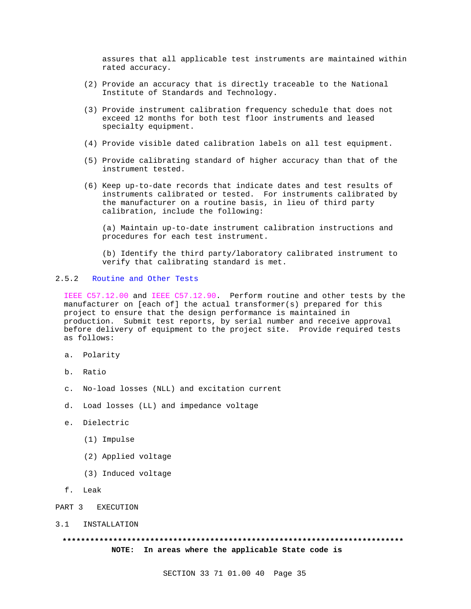assures that all applicable test instruments are maintained within rated accuracy.

- (2) Provide an accuracy that is directly traceable to the National Institute of Standards and Technology.
- (3) Provide instrument calibration frequency schedule that does not exceed 12 months for both test floor instruments and leased specialty equipment.
- (4) Provide visible dated calibration labels on all test equipment.
- (5) Provide calibrating standard of higher accuracy than that of the instrument tested.
- (6) Keep up-to-date records that indicate dates and test results of instruments calibrated or tested. For instruments calibrated by the manufacturer on a routine basis, in lieu of third party calibration, include the following:

(a) Maintain up-to-date instrument calibration instructions and procedures for each test instrument.

(b) Identify the third party/laboratory calibrated instrument to verify that calibrating standard is met.

# 2.5.2 Routine and Other Tests

IEEE C57.12.00 and IEEE C57.12.90. Perform routine and other tests by the manufacturer on [each of] the actual transformer(s) prepared for this project to ensure that the design performance is maintained in production. Submit test reports, by serial number and receive approval before delivery of equipment to the project site. Provide required tests as follows:

- a. Polarity
- b. Ratio
- c. No-load losses (NLL) and excitation current
- d. Load losses (LL) and impedance voltage
- e. Dielectric
	- (1) Impulse
	- (2) Applied voltage
	- (3) Induced voltage
- f. Leak
- PART 3 EXECUTION
- 3.1 INSTALLATION

# **\*\*\*\*\*\*\*\*\*\*\*\*\*\*\*\*\*\*\*\*\*\*\*\*\*\*\*\*\*\*\*\*\*\*\*\*\*\*\*\*\*\*\*\*\*\*\*\*\*\*\*\*\*\*\*\*\*\*\*\*\*\*\*\*\*\*\*\*\*\*\*\*\*\* NOTE: In areas where the applicable State code is**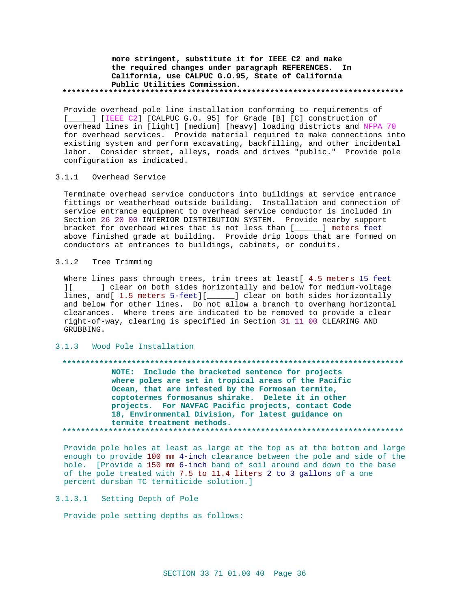# **more stringent, substitute it for IEEE C2 and make the required changes under paragraph REFERENCES. In California, use CALPUC G.O.95, State of California Public Utilities Commission. \*\*\*\*\*\*\*\*\*\*\*\*\*\*\*\*\*\*\*\*\*\*\*\*\*\*\*\*\*\*\*\*\*\*\*\*\*\*\*\*\*\*\*\*\*\*\*\*\*\*\*\*\*\*\*\*\*\*\*\*\*\*\*\*\*\*\*\*\*\*\*\*\*\***

Provide overhead pole line installation conforming to requirements of [\_\_\_\_] [IEEE C2] [CALPUC G.O. 95] for Grade [B] [C] construction of overhead lines in [light] [medium] [heavy] loading districts and NFPA 70 for overhead services. Provide material required to make connections into existing system and perform excavating, backfilling, and other incidental labor. Consider street, alleys, roads and drives "public." Provide pole configuration as indicated.

### 3.1.1 Overhead Service

Terminate overhead service conductors into buildings at service entrance fittings or weatherhead outside building. Installation and connection of service entrance equipment to overhead service conductor is included in Section 26 20 00 INTERIOR DISTRIBUTION SYSTEM. Provide nearby support bracket for overhead wires that is not less than [\_\_\_\_\_\_] meters feet above finished grade at building. Provide drip loops that are formed on conductors at entrances to buildings, cabinets, or conduits.

## 3.1.2 Tree Trimming

Where lines pass through trees, trim trees at least[ 4.5 meters 15 feet ][\_\_\_\_\_\_] clear on both sides horizontally and below for medium-voltage lines, and[ 1.5 meters 5-feet][\_\_\_\_\_\_] clear on both sides horizontally and below for other lines. Do not allow a branch to overhang horizontal clearances. Where trees are indicated to be removed to provide a clear right-of-way, clearing is specified in Section 31 11 00 CLEARING AND GRUBBING.

#### 3.1.3 Wood Pole Installation

#### **\*\*\*\*\*\*\*\*\*\*\*\*\*\*\*\*\*\*\*\*\*\*\*\*\*\*\*\*\*\*\*\*\*\*\*\*\*\*\*\*\*\*\*\*\*\*\*\*\*\*\*\*\*\*\*\*\*\*\*\*\*\*\*\*\*\*\*\*\*\*\*\*\*\***

**NOTE: Include the bracketed sentence for projects where poles are set in tropical areas of the Pacific Ocean, that are infested by the Formosan termite, coptotermes formosanus shirake. Delete it in other projects. For NAVFAC Pacific projects, contact Code 18, Environmental Division, for latest guidance on termite treatment methods. \*\*\*\*\*\*\*\*\*\*\*\*\*\*\*\*\*\*\*\*\*\*\*\*\*\*\*\*\*\*\*\*\*\*\*\*\*\*\*\*\*\*\*\*\*\*\*\*\*\*\*\*\*\*\*\*\*\*\*\*\*\*\*\*\*\*\*\*\*\*\*\*\*\***

Provide pole holes at least as large at the top as at the bottom and large enough to provide 100 mm 4-inch clearance between the pole and side of the hole. [Provide a 150 mm 6-inch band of soil around and down to the base of the pole treated with 7.5 to 11.4 liters 2 to 3 gallons of a one percent dursban TC termiticide solution.]

# 3.1.3.1 Setting Depth of Pole

Provide pole setting depths as follows: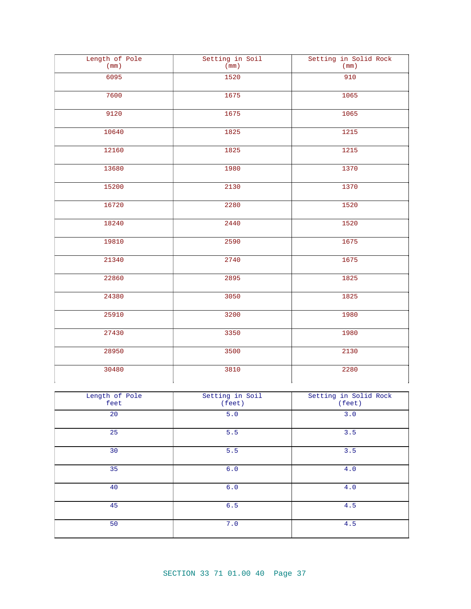| Length of Pole<br>(mm) | Setting in Soil<br>(mm) | Setting in Solid Rock<br>(mm) |
|------------------------|-------------------------|-------------------------------|
| 6095                   | 1520                    | 910                           |
| 7600                   | 1675                    | 1065                          |
| 9120                   | 1675                    | 1065                          |
| 10640                  | 1825                    | 1215                          |
| 12160                  | 1825                    | 1215                          |
| 13680                  | 1980                    | 1370                          |
| 15200                  | 2130                    | 1370                          |
| 16720                  | 2280                    | 1520                          |
| 18240                  | 2440                    | 1520                          |
| 19810                  | 2590                    | 1675                          |
| 21340                  | 2740                    | 1675                          |
| 22860                  | 2895                    | 1825                          |
| 24380                  | 3050                    | 1825                          |
| 25910                  | 3200                    | 1980                          |
| 27430                  | 3350                    | 1980                          |
| 28950                  | 3500                    | 2130                          |
| 30480                  | 3810                    | 2280                          |

| Length of Pole<br>feet | Setting in Soil<br>(feet) | Setting in Solid Rock<br>(feet) |
|------------------------|---------------------------|---------------------------------|
| 20                     | 5.0                       | 3.0                             |
| 25                     | 5.5                       | 3.5                             |
| 30                     | 5.5                       | 3.5                             |
| 35                     | 6.0                       | 4.0                             |
| 40                     | 6.0                       | 4.0                             |
| 45                     | 6.5                       | 4.5                             |
| 50                     | 7.0                       | 4.5                             |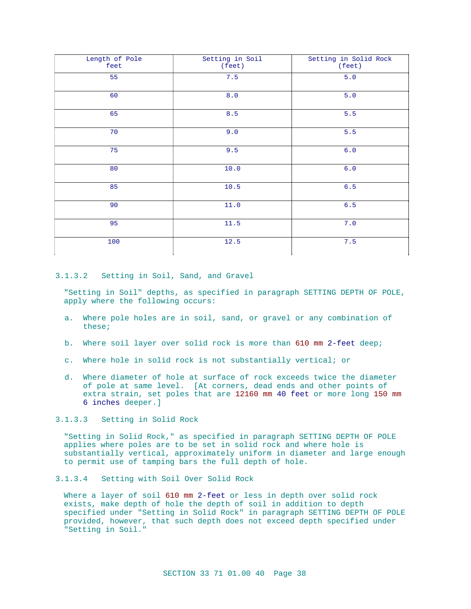| Length of Pole<br>feet | Setting in Soil<br>(feet) | Setting in Solid Rock<br>(feet) |
|------------------------|---------------------------|---------------------------------|
| 55                     | 7.5                       | 5.0                             |
| 60                     | $8.0\,$                   | 5.0                             |
| 65                     | 8.5                       | 5.5                             |
| 70                     | 9.0                       | 5.5                             |
| 75                     | 9.5                       | 6.0                             |
| 80                     | 10.0                      | $6.0$                           |
| 85                     | 10.5                      | $6.5$                           |
| 90                     | 11.0                      | $6.5$                           |
| 95                     | 11.5                      | 7.0                             |
| 100                    | 12.5                      | 7.5                             |

### 3.1.3.2 Setting in Soil, Sand, and Gravel

"Setting in Soil" depths, as specified in paragraph SETTING DEPTH OF POLE, apply where the following occurs:

- a. Where pole holes are in soil, sand, or gravel or any combination of these;
- b. Where soil layer over solid rock is more than 610 mm 2-feet deep;
- c. Where hole in solid rock is not substantially vertical; or
- d. Where diameter of hole at surface of rock exceeds twice the diameter of pole at same level. [At corners, dead ends and other points of extra strain, set poles that are 12160 mm 40 feet or more long 150 mm 6 inches deeper.]

# 3.1.3.3 Setting in Solid Rock

"Setting in Solid Rock," as specified in paragraph SETTING DEPTH OF POLE applies where poles are to be set in solid rock and where hole is substantially vertical, approximately uniform in diameter and large enough to permit use of tamping bars the full depth of hole.

# 3.1.3.4 Setting with Soil Over Solid Rock

Where a layer of soil 610 mm 2-feet or less in depth over solid rock exists, make depth of hole the depth of soil in addition to depth specified under "Setting in Solid Rock" in paragraph SETTING DEPTH OF POLE provided, however, that such depth does not exceed depth specified under "Setting in Soil."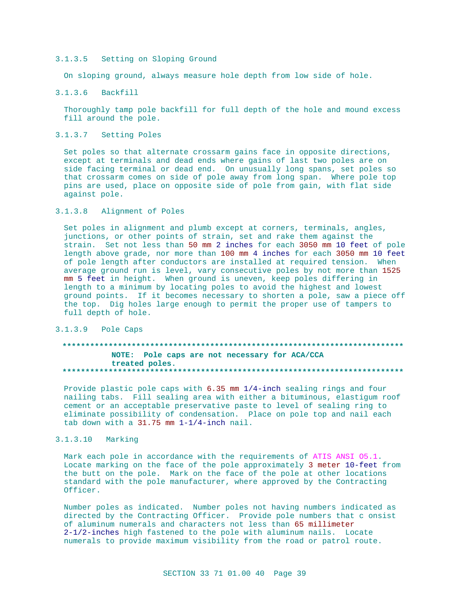#### $3.1.3.5$ Setting on Sloping Ground

On sloping ground, always measure hole depth from low side of hole.

#### $3.1.3.6$ Backfill

Thoroughly tamp pole backfill for full depth of the hole and mound excess fill around the pole.

### 3.1.3.7 Setting Poles

Set poles so that alternate crossarm gains face in opposite directions, except at terminals and dead ends where gains of last two poles are on side facing terminal or dead end. On unusually long spans, set poles so that crossarm comes on side of pole away from long span. Where pole top pins are used, place on opposite side of pole from gain, with flat side against pole.

#### $3.1.3.8$ Alignment of Poles

Set poles in alignment and plumb except at corners, terminals, angles, junctions, or other points of strain, set and rake them against the strain. Set not less than 50 mm 2 inches for each 3050 mm 10 feet of pole length above grade, nor more than 100 mm 4 inches for each 3050 mm 10 feet of pole length after conductors are installed at required tension. When average ground run is level, vary consecutive poles by not more than 1525 mm 5 feet in height. When ground is uneven, keep poles differing in length to a minimum by locating poles to avoid the highest and lowest ground points. If it becomes necessary to shorten a pole, saw a piece off the top. Dig holes large enough to permit the proper use of tampers to full depth of hole.

# 3.1.3.9 Pole Caps

#### NOTE: Pole caps are not necessary for ACA/CCA treated poles. . . . . . . . . . . . . .

Provide plastic pole caps with 6.35 mm 1/4-inch sealing rings and four nailing tabs. Fill sealing area with either a bituminous, elastigum roof cement or an acceptable preservative paste to level of sealing ring to eliminate possibility of condensation. Place on pole top and nail each tab down with a  $31.75$  mm  $1-1/4$ -inch nail.

# 3.1.3.10 Marking

Mark each pole in accordance with the requirements of ATIS ANSI 05.1. Locate marking on the face of the pole approximately 3 meter 10-feet from the butt on the pole. Mark on the face of the pole at other locations standard with the pole manufacturer, where approved by the Contracting Officer.

Number poles as indicated. Number poles not having numbers indicated as directed by the Contracting Officer. Provide pole numbers that c onsist of aluminum numerals and characters not less than 65 millimeter 2-1/2-inches high fastened to the pole with aluminum nails. Locate numerals to provide maximum visibility from the road or patrol route.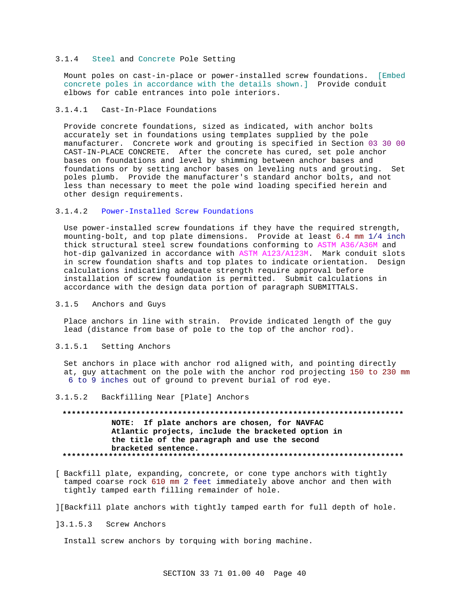#### 3.1.4 Steel and Concrete Pole Setting

Mount poles on cast-in-place or power-installed screw foundations. [Embed concrete poles in accordance with the details shown.] Provide conduit elbows for cable entrances into pole interiors.

### 3.1.4.1 Cast-In-Place Foundations

Provide concrete foundations, sized as indicated, with anchor bolts accurately set in foundations using templates supplied by the pole manufacturer. Concrete work and grouting is specified in Section 03 30 00 CAST-IN-PLACE CONCRETE. After the concrete has cured, set pole anchor bases on foundations and level by shimming between anchor bases and foundations or by setting anchor bases on leveling nuts and grouting. Set poles plumb. Provide the manufacturer's standard anchor bolts, and not less than necessary to meet the pole wind loading specified herein and other design requirements.

# 3.1.4.2 Power-Installed Screw Foundations

Use power-installed screw foundations if they have the required strength, mounting-bolt, and top plate dimensions. Provide at least 6.4 mm 1/4 inch thick structural steel screw foundations conforming to ASTM A36/A36M and hot-dip galvanized in accordance with ASTM A123/A123M. Mark conduit slots in screw foundation shafts and top plates to indicate orientation. Design calculations indicating adequate strength require approval before installation of screw foundation is permitted. Submit calculations in accordance with the design data portion of paragraph SUBMITTALS.

#### 3.1.5 Anchors and Guys

Place anchors in line with strain. Provide indicated length of the guy lead (distance from base of pole to the top of the anchor rod).

#### 3.1.5.1 Setting Anchors

Set anchors in place with anchor rod aligned with, and pointing directly at, guy attachment on the pole with the anchor rod projecting 150 to 230 mm 6 to 9 inches out of ground to prevent burial of rod eye.

#### 3.1.5.2 Backfilling Near [Plate] Anchors

# **\*\*\*\*\*\*\*\*\*\*\*\*\*\*\*\*\*\*\*\*\*\*\*\*\*\*\*\*\*\*\*\*\*\*\*\*\*\*\*\*\*\*\*\*\*\*\*\*\*\*\*\*\*\*\*\*\*\*\*\*\*\*\*\*\*\*\*\*\*\*\*\*\*\* NOTE: If plate anchors are chosen, for NAVFAC Atlantic projects, include the bracketed option in the title of the paragraph and use the second bracketed sentence. \*\*\*\*\*\*\*\*\*\*\*\*\*\*\*\*\*\*\*\*\*\*\*\*\*\*\*\*\*\*\*\*\*\*\*\*\*\*\*\*\*\*\*\*\*\*\*\*\*\*\*\*\*\*\*\*\*\*\*\*\*\*\*\*\*\*\*\*\*\*\*\*\*\***

[ Backfill plate, expanding, concrete, or cone type anchors with tightly tamped coarse rock 610 mm 2 feet immediately above anchor and then with tightly tamped earth filling remainder of hole.

][Backfill plate anchors with tightly tamped earth for full depth of hole.

]3.1.5.3 Screw Anchors

Install screw anchors by torquing with boring machine.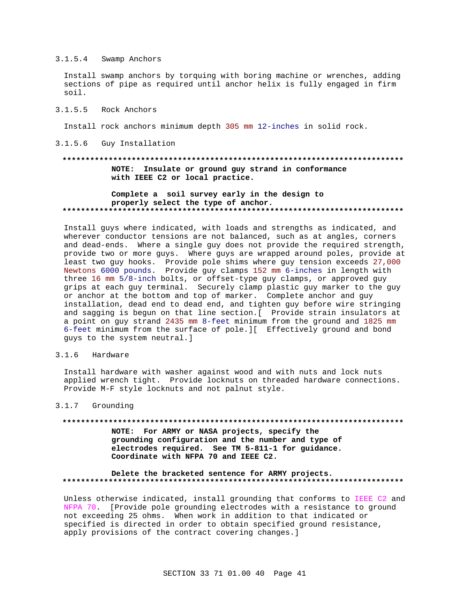# 3.1.5.4 Swamp Anchors

Install swamp anchors by torquing with boring machine or wrenches, adding sections of pipe as required until anchor helix is fully engaged in firm soil.

#### 3.1.5.5 Rock Anchors

Install rock anchors minimum depth 305 mm 12-inches in solid rock.

3.1.5.6 Guy Installation

# **\*\*\*\*\*\*\*\*\*\*\*\*\*\*\*\*\*\*\*\*\*\*\*\*\*\*\*\*\*\*\*\*\*\*\*\*\*\*\*\*\*\*\*\*\*\*\*\*\*\*\*\*\*\*\*\*\*\*\*\*\*\*\*\*\*\*\*\*\*\*\*\*\*\* NOTE: Insulate or ground guy strand in conformance with IEEE C2 or local practice.**

# **Complete a soil survey early in the design to properly select the type of anchor. \*\*\*\*\*\*\*\*\*\*\*\*\*\*\*\*\*\*\*\*\*\*\*\*\*\*\*\*\*\*\*\*\*\*\*\*\*\*\*\*\*\*\*\*\*\*\*\*\*\*\*\*\*\*\*\*\*\*\*\*\*\*\*\*\*\*\*\*\*\*\*\*\*\***

Install guys where indicated, with loads and strengths as indicated, and wherever conductor tensions are not balanced, such as at angles, corners and dead-ends. Where a single guy does not provide the required strength, provide two or more guys. Where guys are wrapped around poles, provide at least two guy hooks. Provide pole shims where guy tension exceeds 27,000 Newtons 6000 pounds. Provide guy clamps 152 mm 6-inches in length with three 16 mm 5/8-inch bolts, or offset-type guy clamps, or approved guy grips at each guy terminal. Securely clamp plastic guy marker to the guy or anchor at the bottom and top of marker. Complete anchor and guy installation, dead end to dead end, and tighten guy before wire stringing and sagging is begun on that line section.[ Provide strain insulators at a point on guy strand 2435 mm 8-feet minimum from the ground and 1825 mm 6-feet minimum from the surface of pole.][ Effectively ground and bond guys to the system neutral.]

#### 3.1.6 Hardware

Install hardware with washer against wood and with nuts and lock nuts applied wrench tight. Provide locknuts on threaded hardware connections. Provide M-F style locknuts and not palnut style.

#### 3.1.7 Grounding

# **\*\*\*\*\*\*\*\*\*\*\*\*\*\*\*\*\*\*\*\*\*\*\*\*\*\*\*\*\*\*\*\*\*\*\*\*\*\*\*\*\*\*\*\*\*\*\*\*\*\*\*\*\*\*\*\*\*\*\*\*\*\*\*\*\*\*\*\*\*\*\*\*\*\***

**NOTE: For ARMY or NASA projects, specify the grounding configuration and the number and type of electrodes required. See TM 5-811-1 for guidance. Coordinate with NFPA 70 and IEEE C2.**

### **Delete the bracketed sentence for ARMY projects. \*\*\*\*\*\*\*\*\*\*\*\*\*\*\*\*\*\*\*\*\*\*\*\*\*\*\*\*\*\*\*\*\*\*\*\*\*\*\*\*\*\*\*\*\*\*\*\*\*\*\*\*\*\*\*\*\*\*\*\*\*\*\*\*\*\*\*\*\*\*\*\*\*\***

Unless otherwise indicated, install grounding that conforms to IEEE C2 and NFPA 70. [Provide pole grounding electrodes with a resistance to ground not exceeding 25 ohms. When work in addition to that indicated or specified is directed in order to obtain specified ground resistance, apply provisions of the contract covering changes.]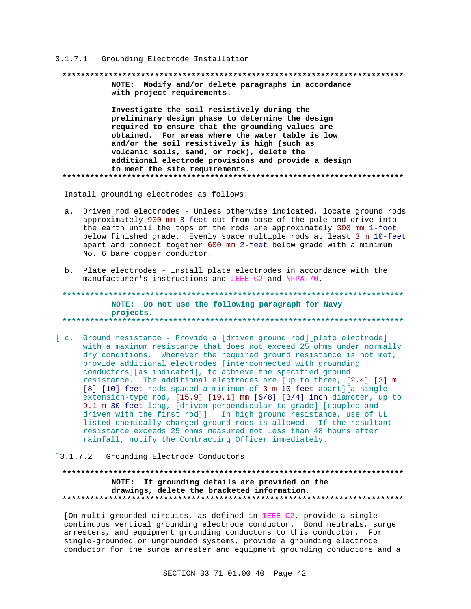#### 3.1.7.1 Grounding Electrode Installation

NOTE: Modify and/or delete paragraphs in accordance with project requirements. Investigate the soil resistively during the preliminary design phase to determine the design required to ensure that the grounding values are obtained. For areas where the water table is low and/or the soil resistively is high (such as volcanic soils, sand, or rock), delete the additional electrode provisions and provide a design to meet the site requirements. 

Install grounding electrodes as follows:

- a. Driven rod electrodes Unless otherwise indicated, locate ground rods approximately 900 mm 3-feet out from base of the pole and drive into the earth until the tops of the rods are approximately 300 mm 1-foot below finished grade. Evenly space multiple rods at least 3 m 10-feet apart and connect together 600 mm 2-feet below grade with a minimum No. 6 bare copper conductor.
- b. Plate electrodes Install plate electrodes in accordance with the manufacturer's instructions and IEEE C2 and NFPA 70.

NOTE: Do not use the following paragraph for Navy projects. \*\*\*\*\*\*\*\*\*\* 

[c. Ground resistance - Provide a [driven ground rod][plate electrode] with a maximum resistance that does not exceed 25 ohms under normally dry conditions. Whenever the required ground resistance is not met, provide additional electrodes [interconnected with grounding conductors][as indicated], to achieve the specified ground resistance. The additional electrodes are [up to three, [2.4] [3] m [8] [10] feet rods spaced a minimum of 3 m 10 feet apart] [a single extension-type rod, [15.9] [19.1] mm [5/8] [3/4] inch diameter, up to 9.1 m 30 feet long, [driven perpendicular to grade] [coupled and driven with the first rod]]. In high ground resistance, use of UL listed chemically charged ground rods is allowed. If the resultant resistance exceeds 25 ohms measured not less than 48 hours after rainfall, notify the Contracting Officer immediately.

# 13.1.7.2 Grounding Electrode Conductors

# NOTE: If grounding details are provided on the drawings, delete the bracketed information.

[On multi-grounded circuits, as defined in IEEE C2, provide a single continuous vertical grounding electrode conductor. Bond neutrals, surge arresters, and equipment grounding conductors to this conductor. For single-grounded or ungrounded systems, provide a grounding electrode conductor for the surge arrester and equipment grounding conductors and a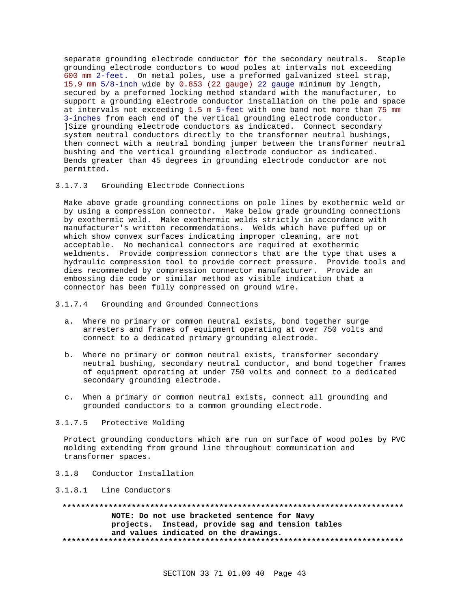separate grounding electrode conductor for the secondary neutrals. Staple grounding electrode conductors to wood poles at intervals not exceeding 600 mm 2-feet. On metal poles, use a preformed galvanized steel strap, 15.9 mm 5/8-inch wide by 0.853 (22 gauge) 22 gauge minimum by length, secured by a preformed locking method standard with the manufacturer, to support a grounding electrode conductor installation on the pole and space at intervals not exceeding 1.5 m 5-feet with one band not more than 75 mm 3-inches from each end of the vertical grounding electrode conductor. ]Size grounding electrode conductors as indicated. Connect secondary system neutral conductors directly to the transformer neutral bushings, then connect with a neutral bonding jumper between the transformer neutral bushing and the vertical grounding electrode conductor as indicated. Bends greater than 45 degrees in grounding electrode conductor are not permitted.

# 3.1.7.3 Grounding Electrode Connections

Make above grade grounding connections on pole lines by exothermic weld or by using a compression connector. Make below grade grounding connections by exothermic weld. Make exothermic welds strictly in accordance with manufacturer's written recommendations. Welds which have puffed up or which show convex surfaces indicating improper cleaning, are not acceptable. No mechanical connectors are required at exothermic weldments. Provide compression connectors that are the type that uses a hydraulic compression tool to provide correct pressure. Provide tools and dies recommended by compression connector manufacturer. Provide an embossing die code or similar method as visible indication that a connector has been fully compressed on ground wire.

## 3.1.7.4 Grounding and Grounded Connections

- a. Where no primary or common neutral exists, bond together surge arresters and frames of equipment operating at over 750 volts and connect to a dedicated primary grounding electrode.
- b. Where no primary or common neutral exists, transformer secondary neutral bushing, secondary neutral conductor, and bond together frames of equipment operating at under 750 volts and connect to a dedicated secondary grounding electrode.
- c. When a primary or common neutral exists, connect all grounding and grounded conductors to a common grounding electrode.

# 3.1.7.5 Protective Molding

Protect grounding conductors which are run on surface of wood poles by PVC molding extending from ground line throughout communication and transformer spaces.

### 3.1.8 Conductor Installation

#### 3.1.8.1 Line Conductors

**\*\*\*\*\*\*\*\*\*\*\*\*\*\*\*\*\*\*\*\*\*\*\*\*\*\*\*\*\*\*\*\*\*\*\*\*\*\*\*\*\*\*\*\*\*\*\*\*\*\*\*\*\*\*\*\*\*\*\*\*\*\*\*\*\*\*\*\*\*\*\*\*\*\* NOTE: Do not use bracketed sentence for Navy projects. Instead, provide sag and tension tables and values indicated on the drawings. \*\*\*\*\*\*\*\*\*\*\*\*\*\*\*\*\*\*\*\*\*\*\*\*\*\*\*\*\*\*\*\*\*\*\*\*\*\*\*\*\*\*\*\*\*\*\*\*\*\*\*\*\*\*\*\*\*\*\*\*\*\*\*\*\*\*\*\*\*\*\*\*\*\***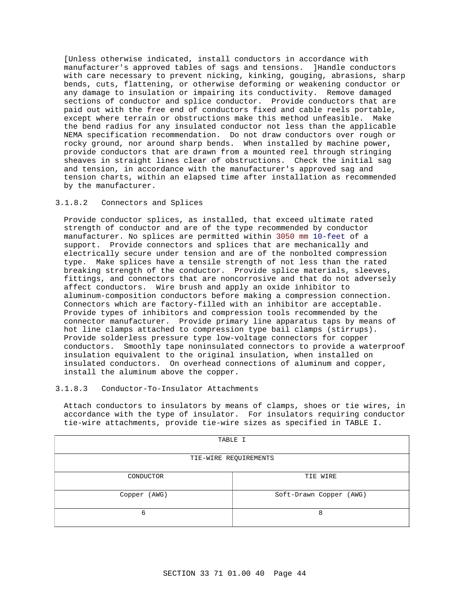[Unless otherwise indicated, install conductors in accordance with manufacturer's approved tables of sags and tensions. ]Handle conductors with care necessary to prevent nicking, kinking, gouging, abrasions, sharp bends, cuts, flattening, or otherwise deforming or weakening conductor or any damage to insulation or impairing its conductivity. Remove damaged sections of conductor and splice conductor. Provide conductors that are paid out with the free end of conductors fixed and cable reels portable, except where terrain or obstructions make this method unfeasible. Make the bend radius for any insulated conductor not less than the applicable NEMA specification recommendation. Do not draw conductors over rough or rocky ground, nor around sharp bends. When installed by machine power, provide conductors that are drawn from a mounted reel through stringing sheaves in straight lines clear of obstructions. Check the initial sag and tension, in accordance with the manufacturer's approved sag and tension charts, within an elapsed time after installation as recommended by the manufacturer.

#### 3.1.8.2 Connectors and Splices

Provide conductor splices, as installed, that exceed ultimate rated strength of conductor and are of the type recommended by conductor manufacturer. No splices are permitted within 3050 mm 10-feet of a support. Provide connectors and splices that are mechanically and electrically secure under tension and are of the nonbolted compression type. Make splices have a tensile strength of not less than the rated breaking strength of the conductor. Provide splice materials, sleeves, fittings, and connectors that are noncorrosive and that do not adversely affect conductors. Wire brush and apply an oxide inhibitor to aluminum-composition conductors before making a compression connection. Connectors which are factory-filled with an inhibitor are acceptable. Provide types of inhibitors and compression tools recommended by the connector manufacturer. Provide primary line apparatus taps by means of hot line clamps attached to compression type bail clamps (stirrups). Provide solderless pressure type low-voltage connectors for copper conductors. Smoothly tape noninsulated connectors to provide a waterproof insulation equivalent to the original insulation, when installed on insulated conductors. On overhead connections of aluminum and copper, install the aluminum above the copper.

### 3.1.8.3 Conductor-To-Insulator Attachments

Attach conductors to insulators by means of clamps, shoes or tie wires, in accordance with the type of insulator. For insulators requiring conductor tie-wire attachments, provide tie-wire sizes as specified in TABLE I.

| TABLE I               |                         |  |  |
|-----------------------|-------------------------|--|--|
| TIE-WIRE REQUIREMENTS |                         |  |  |
| CONDUCTOR             | TIE WIRE                |  |  |
| Copper (AWG)          | Soft-Drawn Copper (AWG) |  |  |
| 6                     | 8                       |  |  |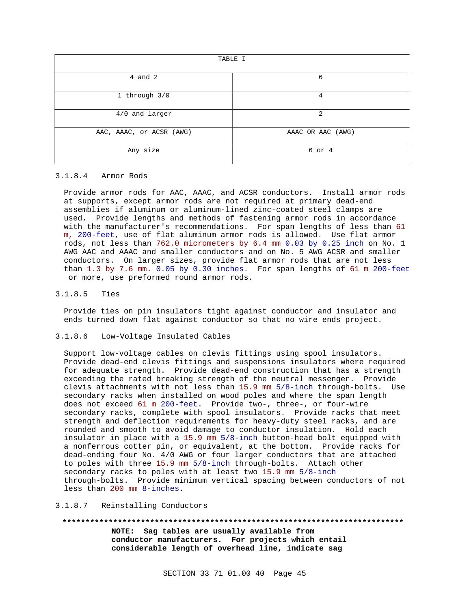| TABLE I                  |                   |  |
|--------------------------|-------------------|--|
| $4$ and $2$              | 6                 |  |
| 1 through 3/0            | $\overline{4}$    |  |
| 4/0 and larger           | 2                 |  |
| AAC, AAAC, or ACSR (AWG) | AAAC OR AAC (AWG) |  |
| Any size                 | 6 or 4            |  |

#### 3.1.8.4 Armor Rods

Provide armor rods for AAC, AAAC, and ACSR conductors. Install armor rods at supports, except armor rods are not required at primary dead-end assemblies if aluminum or aluminum-lined zinc-coated steel clamps are used. Provide lengths and methods of fastening armor rods in accordance with the manufacturer's recommendations. For span lengths of less than 61 m, 200-feet, use of flat aluminum armor rods is allowed. Use flat armor rods, not less than 762.0 micrometers by 6.4 mm 0.03 by 0.25 inch on No. 1 AWG AAC and AAAC and smaller conductors and on No. 5 AWG ACSR and smaller conductors. On larger sizes, provide flat armor rods that are not less than 1.3 by 7.6 mm. 0.05 by 0.30 inches. For span lengths of 61 m 200-feet or more, use preformed round armor rods.

#### 3.1.8.5 Ties

Provide ties on pin insulators tight against conductor and insulator and ends turned down flat against conductor so that no wire ends project.

#### 3.1.8.6 Low-Voltage Insulated Cables

Support low-voltage cables on clevis fittings using spool insulators. Provide dead-end clevis fittings and suspensions insulators where required for adequate strength. Provide dead-end construction that has a strength exceeding the rated breaking strength of the neutral messenger. Provide clevis attachments with not less than 15.9 mm 5/8-inch through-bolts. Use secondary racks when installed on wood poles and where the span length does not exceed 61 m 200-feet. Provide two-, three-, or four-wire secondary racks, complete with spool insulators. Provide racks that meet strength and deflection requirements for heavy-duty steel racks, and are rounded and smooth to avoid damage to conductor insulation. Hold each insulator in place with a 15.9 mm 5/8-inch button-head bolt equipped with a nonferrous cotter pin, or equivalent, at the bottom. Provide racks for dead-ending four No. 4/0 AWG or four larger conductors that are attached to poles with three 15.9 mm 5/8-inch through-bolts. Attach other secondary racks to poles with at least two 15.9 mm 5/8-inch through-bolts. Provide minimum vertical spacing between conductors of not less than 200 mm 8-inches.

#### 3.1.8.7 Reinstalling Conductors

**\*\*\*\*\*\*\*\*\*\*\*\*\*\*\*\*\*\*\*\*\*\*\*\*\*\*\*\*\*\*\*\*\*\*\*\*\*\*\*\*\*\*\*\*\*\*\*\*\*\*\*\*\*\*\*\*\*\*\*\*\*\*\*\*\*\*\*\*\*\*\*\*\*\* NOTE: Sag tables are usually available from conductor manufacturers. For projects which entail considerable length of overhead line, indicate sag**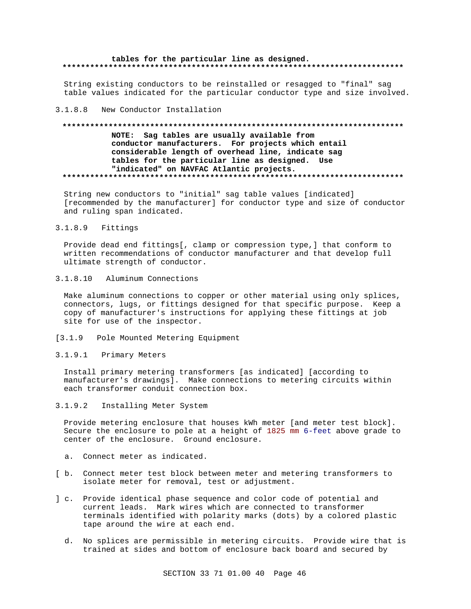#### tables for the particular line as designed.

String existing conductors to be reinstalled or resagged to "final" sag table values indicated for the particular conductor type and size involved.

#### $3.1.8.8$ New Conductor Installation

#### NOTE: Sag tables are usually available from conductor manufacturers. For projects which entail considerable length of overhead line, indicate sag tables for the particular line as designed. Use "indicated" on NAVFAC Atlantic projects.

String new conductors to "initial" sag table values [indicated] [recommended by the manufacturer] for conductor type and size of conductor and ruling span indicated.

#### $3.1.8.9$ Fittings

Provide dead end fittings[, clamp or compression type,] that conform to written recommendations of conductor manufacturer and that develop full ultimate strength of conductor.

#### $3.1.8.10$ Aluminum Connections

Make aluminum connections to copper or other material using only splices, connectors, lugs, or fittings designed for that specific purpose. Keep a copy of manufacturer's instructions for applying these fittings at job site for use of the inspector.

# [3.1.9 Pole Mounted Metering Equipment

# 3.1.9.1 Primary Meters

Install primary metering transformers [as indicated] [according to manufacturer's drawings]. Make connections to metering circuits within each transformer conduit connection box.

#### $3.1.9.2$ Installing Meter System

Provide metering enclosure that houses kWh meter [and meter test block]. Secure the enclosure to pole at a height of 1825 mm 6-feet above grade to center of the enclosure. Ground enclosure.

- a. Connect meter as indicated.
- [ b. Connect meter test block between meter and metering transformers to isolate meter for removal, test or adjustment.
- ] c. Provide identical phase sequence and color code of potential and current leads. Mark wires which are connected to transformer terminals identified with polarity marks (dots) by a colored plastic tape around the wire at each end.
	- d. No splices are permissible in metering circuits. Provide wire that is trained at sides and bottom of enclosure back board and secured by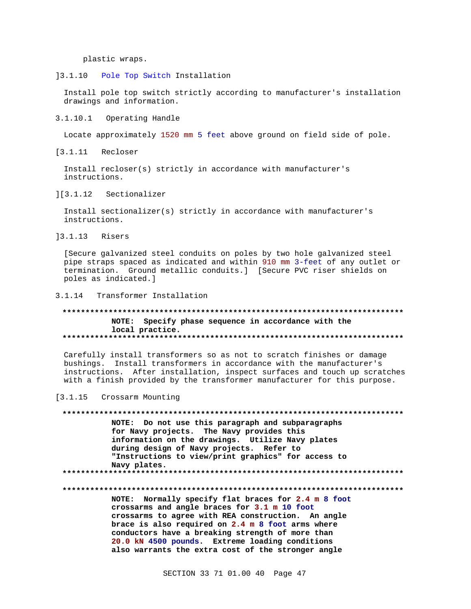plastic wraps.

 $]3.1.10$ Pole Top Switch Installation

Install pole top switch strictly according to manufacturer's installation drawings and information.

3.1.10.1 Operating Handle

Locate approximately 1520 mm 5 feet above ground on field side of pole.

[3.1.11 Recloser

Install recloser(s) strictly in accordance with manufacturer's instructions.

 $]$ [3.1.12] Sectionalizer

Install sectionalizer(s) strictly in accordance with manufacturer's instructions.

 $13.1.13$ Risers

[Secure galvanized steel conduits on poles by two hole galvanized steel pipe straps spaced as indicated and within 910 mm 3-feet of any outlet or termination. Ground metallic conduits.] [Secure PVC riser shields on poles as indicated.]

3.1.14 Transformer Installation

### NOTE: Specify phase sequence in accordance with the local practice.

Carefully install transformers so as not to scratch finishes or damage bushings. Install transformers in accordance with the manufacturer's instructions. After installation, inspect surfaces and touch up scratches with a finish provided by the transformer manufacturer for this purpose.

[3.1.15 Crossarm Mounting

NOTE: Do not use this paragraph and subparagraphs for Navy projects. The Navy provides this information on the drawings. Utilize Navy plates during design of Navy projects. Refer to "Instructions to view/print graphics" for access to Navy plates. 

NOTE: Normally specify flat braces for 2.4 m 8 foot crossarms and angle braces for 3.1 m 10 foot crossarms to agree with REA construction. An angle brace is also required on 2.4 m 8 foot arms where conductors have a breaking strength of more than 20.0 kN 4500 pounds. Extreme loading conditions also warrants the extra cost of the stronger angle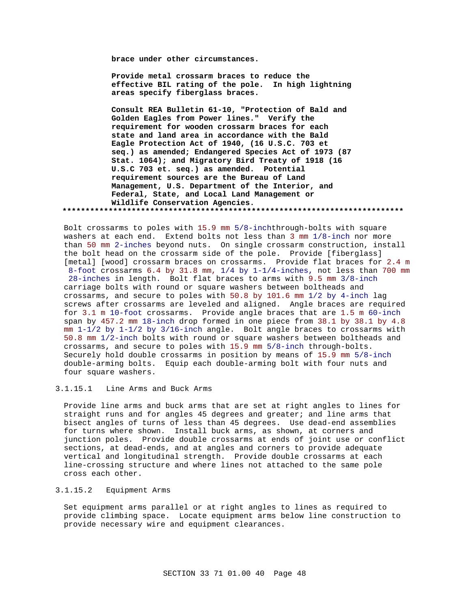**brace under other circumstances.**

**Provide metal crossarm braces to reduce the effective BIL rating of the pole. In high lightning areas specify fiberglass braces.**

**Consult REA Bulletin 61-10, "Protection of Bald and Golden Eagles from Power lines." Verify the requirement for wooden crossarm braces for each state and land area in accordance with the Bald Eagle Protection Act of 1940, (16 U.S.C. 703 et seq.) as amended; Endangered Species Act of 1973 (87 Stat. 1064); and Migratory Bird Treaty of 1918 (16 U.S.C 703 et. seq.) as amended. Potential requirement sources are the Bureau of Land Management, U.S. Department of the Interior, and Federal, State, and Local Land Management or Wildlife Conservation Agencies. \*\*\*\*\*\*\*\*\*\*\*\*\*\*\*\*\*\*\*\*\*\*\*\*\*\*\*\*\*\*\*\*\*\*\*\*\*\*\*\*\*\*\*\*\*\*\*\*\*\*\*\*\*\*\*\*\*\*\*\*\*\*\*\*\*\*\*\*\*\*\*\*\*\***

Bolt crossarms to poles with 15.9 mm 5/8-inchthrough-bolts with square washers at each end. Extend bolts not less than 3 mm 1/8-inch nor more than 50 mm 2-inches beyond nuts. On single crossarm construction, install the bolt head on the crossarm side of the pole. Provide [fiberglass] [metal] [wood] crossarm braces on crossarms. Provide flat braces for 2.4 m 8-foot crossarms 6.4 by 31.8 mm, 1/4 by 1-1/4-inches, not less than 700 mm 28-inches in length. Bolt flat braces to arms with 9.5 mm 3/8-inch carriage bolts with round or square washers between boltheads and crossarms, and secure to poles with 50.8 by 101.6 mm 1/2 by 4-inch lag screws after crossarms are leveled and aligned. Angle braces are required for 3.1 m 10-foot crossarms. Provide angle braces that are 1.5 m 60-inch span by 457.2 mm 18-inch drop formed in one piece from 38.1 by 38.1 by 4.8 mm 1-1/2 by 1-1/2 by 3/16-inch angle. Bolt angle braces to crossarms with 50.8 mm 1/2-inch bolts with round or square washers between boltheads and crossarms, and secure to poles with 15.9 mm 5/8-inch through-bolts. Securely hold double crossarms in position by means of 15.9 mm 5/8-inch double-arming bolts. Equip each double-arming bolt with four nuts and four square washers.

# 3.1.15.1 Line Arms and Buck Arms

Provide line arms and buck arms that are set at right angles to lines for straight runs and for angles 45 degrees and greater; and line arms that bisect angles of turns of less than 45 degrees. Use dead-end assemblies for turns where shown. Install buck arms, as shown, at corners and junction poles. Provide double crossarms at ends of joint use or conflict sections, at dead-ends, and at angles and corners to provide adequate vertical and longitudinal strength. Provide double crossarms at each line-crossing structure and where lines not attached to the same pole cross each other.

# 3.1.15.2 Equipment Arms

Set equipment arms parallel or at right angles to lines as required to provide climbing space. Locate equipment arms below line construction to provide necessary wire and equipment clearances.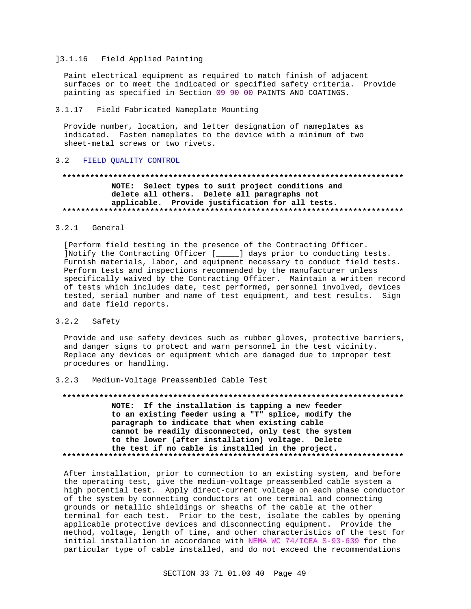#### 13.1.16 Field Applied Painting

Paint electrical equipment as required to match finish of adjacent surfaces or to meet the indicated or specified safety criteria. Provide painting as specified in Section 09 90 00 PAINTS AND COATINGS.

#### $3.1.17$ Field Fabricated Nameplate Mounting

Provide number, location, and letter designation of nameplates as indicated. Fasten nameplates to the device with a minimum of two sheet-metal screws or two rivets.

#### FIELD OUALITY CONTROL  $3<sub>2</sub>$

# NOTE: Select types to suit project conditions and delete all others. Delete all paragraphs not applicable. Provide justification for all tests.

#### $3.2.1$ General

[Perform field testing in the presence of the Contracting Officer. ]Notify the Contracting Officer [\_\_\_\_] days prior to conducting tests. Furnish materials, labor, and equipment necessary to conduct field tests. Perform tests and inspections recommended by the manufacturer unless specifically waived by the Contracting Officer. Maintain a written record of tests which includes date, test performed, personnel involved, devices tested, serial number and name of test equipment, and test results. Sign and date field reports.

#### $3.2.2$ Safety

Provide and use safety devices such as rubber gloves, protective barriers, and danger signs to protect and warn personnel in the test vicinity. Replace any devices or equipment which are damaged due to improper test procedures or handling.

#### $3.2.3$ Medium-Voltage Preassembled Cable Test

NOTE: If the installation is tapping a new feeder to an existing feeder using a "T" splice, modify the paragraph to indicate that when existing cable cannot be readily disconnected, only test the system to the lower (after installation) voltage. Delete the test if no cable is installed in the project. 

After installation, prior to connection to an existing system, and before the operating test, give the medium-voltage preassembled cable system a high potential test. Apply direct-current voltage on each phase conductor of the system by connecting conductors at one terminal and connecting grounds or metallic shieldings or sheaths of the cable at the other terminal for each test. Prior to the test, isolate the cables by opening applicable protective devices and disconnecting equipment. Provide the method, voltage, length of time, and other characteristics of the test for initial installation in accordance with NEMA WC 74/ICEA S-93-639 for the particular type of cable installed, and do not exceed the recommendations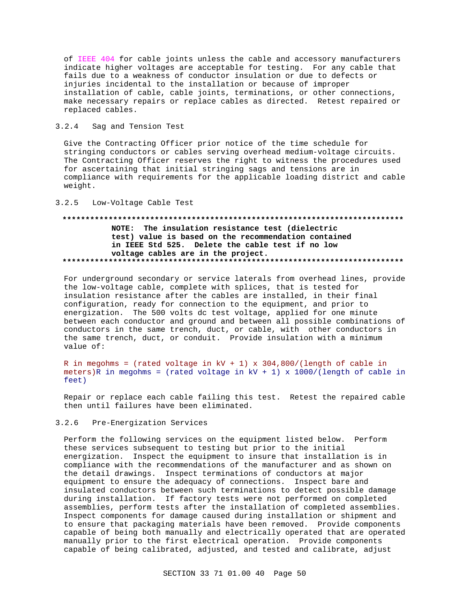of IEEE 404 for cable joints unless the cable and accessory manufacturers indicate higher voltages are acceptable for testing. For any cable that fails due to a weakness of conductor insulation or due to defects or injuries incidental to the installation or because of improper installation of cable, cable joints, terminations, or other connections, make necessary repairs or replace cables as directed. Retest repaired or replaced cables.

#### $3.2.4$ Sag and Tension Test

Give the Contracting Officer prior notice of the time schedule for stringing conductors or cables serving overhead medium-voltage circuits. The Contracting Officer reserves the right to witness the procedures used for ascertaining that initial stringing sags and tensions are in compliance with requirements for the applicable loading district and cable weight.

#### $3.2.5$ Low-Voltage Cable Test

# NOTE: The insulation resistance test (dielectric test) value is based on the recommendation contained in IEEE Std 525. Delete the cable test if no low voltage cables are in the project.

For underground secondary or service laterals from overhead lines, provide the low-voltage cable, complete with splices, that is tested for insulation resistance after the cables are installed, in their final configuration, ready for connection to the equipment, and prior to energization. The 500 volts dc test voltage, applied for one minute between each conductor and ground and between all possible combinations of conductors in the same trench, duct, or cable, with other conductors in the same trench, duct, or conduit. Provide insulation with a minimum value of:

R in megohms = (rated voltage in  $kV + 1$ ) x 304,800/(length of cable in meters)R in megohms = (rated voltage in  $kV + 1$ ) x 1000/(length of cable in feet)

Repair or replace each cable failing this test. Retest the repaired cable then until failures have been eliminated.

#### $3.2.6$ Pre-Energization Services

Perform the following services on the equipment listed below. Perform these services subsequent to testing but prior to the initial energization. Inspect the equipment to insure that installation is in compliance with the recommendations of the manufacturer and as shown on the detail drawings. Inspect terminations of conductors at major equipment to ensure the adequacy of connections. Inspect bare and insulated conductors between such terminations to detect possible damage during installation. If factory tests were not performed on completed assemblies, perform tests after the installation of completed assemblies. Inspect components for damage caused during installation or shipment and to ensure that packaging materials have been removed. Provide components capable of being both manually and electrically operated that are operated manually prior to the first electrical operation. Provide components capable of being calibrated, adjusted, and tested and calibrate, adjust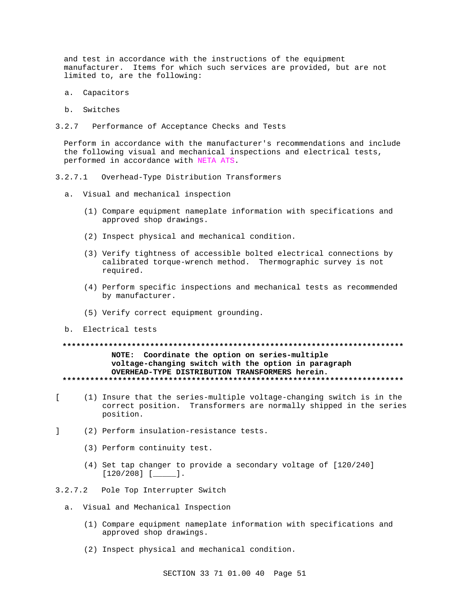and test in accordance with the instructions of the equipment manufacturer. Items for which such services are provided, but are not limited to, are the following:

- a. Capacitors
- b. Switches
- $3.2.7$ Performance of Acceptance Checks and Tests

Perform in accordance with the manufacturer's recommendations and include the following visual and mechanical inspections and electrical tests, performed in accordance with NETA ATS.

- $3.2.7.1$ Overhead-Type Distribution Transformers
	- a. Visual and mechanical inspection
		- (1) Compare equipment nameplate information with specifications and approved shop drawings.
		- (2) Inspect physical and mechanical condition.
		- (3) Verify tightness of accessible bolted electrical connections by calibrated torque-wrench method. Thermographic survey is not required.
		- (4) Perform specific inspections and mechanical tests as recommended by manufacturer.
		- (5) Verify correct equipment grounding.
	- b. Electrical tests

# NOTE: Coordinate the option on series-multiple voltage-changing switch with the option in paragraph OVERHEAD-TYPE DISTRIBUTION TRANSFORMERS herein.

- $\mathbf{r}$ (1) Insure that the series-multiple voltage-changing switch is in the correct position. Transformers are normally shipped in the series position.
- (2) Perform insulation-resistance tests.  $\mathbf{1}$ 
	- (3) Perform continuity test.
	- (4) Set tap changer to provide a secondary voltage of [120/240]  $[120/208]$   $[$   $]$   $]$
- 3.2.7.2 Pole Top Interrupter Switch
	- a. Visual and Mechanical Inspection
		- (1) Compare equipment nameplate information with specifications and approved shop drawings.
		- (2) Inspect physical and mechanical condition.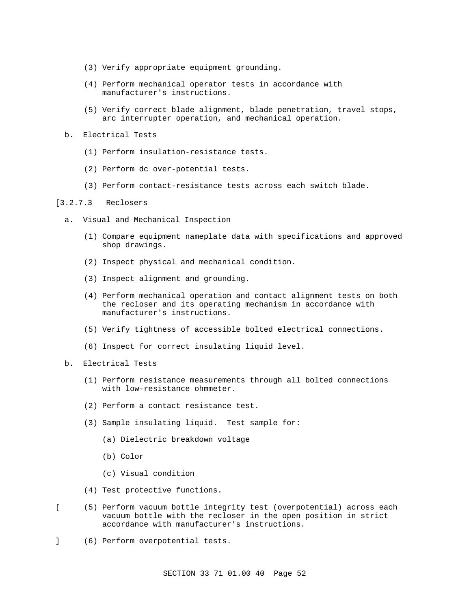- (3) Verify appropriate equipment grounding.
- (4) Perform mechanical operator tests in accordance with manufacturer's instructions.
- (5) Verify correct blade alignment, blade penetration, travel stops, arc interrupter operation, and mechanical operation.
- b. Electrical Tests
	- (1) Perform insulation-resistance tests.
	- (2) Perform dc over-potential tests.
	- (3) Perform contact-resistance tests across each switch blade.

# [3.2.7.3 Reclosers

- a. Visual and Mechanical Inspection
	- (1) Compare equipment nameplate data with specifications and approved shop drawings.
	- (2) Inspect physical and mechanical condition.
	- (3) Inspect alignment and grounding.
	- (4) Perform mechanical operation and contact alignment tests on both the recloser and its operating mechanism in accordance with manufacturer's instructions.
	- (5) Verify tightness of accessible bolted electrical connections.
	- (6) Inspect for correct insulating liquid level.
- b. Electrical Tests
	- (1) Perform resistance measurements through all bolted connections with low-resistance ohmmeter.
	- (2) Perform a contact resistance test.
	- (3) Sample insulating liquid. Test sample for:
		- (a) Dielectric breakdown voltage
		- (b) Color
		- (c) Visual condition
	- (4) Test protective functions.
- [ (5) Perform vacuum bottle integrity test (overpotential) across each vacuum bottle with the recloser in the open position in strict accordance with manufacturer's instructions.
- ] (6) Perform overpotential tests.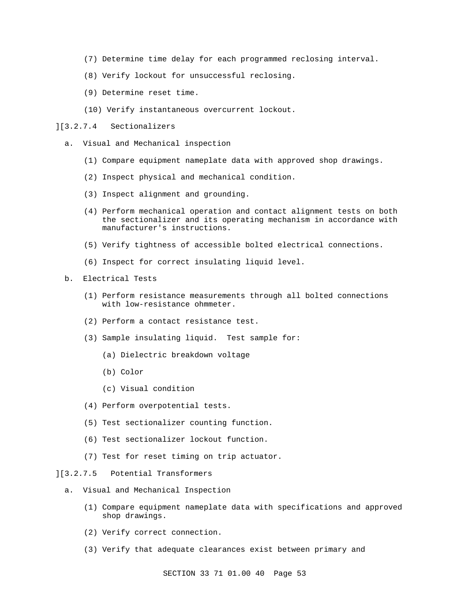- (7) Determine time delay for each programmed reclosing interval.
- (8) Verify lockout for unsuccessful reclosing.
- (9) Determine reset time.
- (10) Verify instantaneous overcurrent lockout.
- ][3.2.7.4 Sectionalizers
	- a. Visual and Mechanical inspection
		- (1) Compare equipment nameplate data with approved shop drawings.
		- (2) Inspect physical and mechanical condition.
		- (3) Inspect alignment and grounding.
		- (4) Perform mechanical operation and contact alignment tests on both the sectionalizer and its operating mechanism in accordance with manufacturer's instructions.
		- (5) Verify tightness of accessible bolted electrical connections.
		- (6) Inspect for correct insulating liquid level.
	- b. Electrical Tests
		- (1) Perform resistance measurements through all bolted connections with low-resistance ohmmeter.
		- (2) Perform a contact resistance test.
		- (3) Sample insulating liquid. Test sample for:
			- (a) Dielectric breakdown voltage
			- (b) Color
			- (c) Visual condition
		- (4) Perform overpotential tests.
		- (5) Test sectionalizer counting function.
		- (6) Test sectionalizer lockout function.
		- (7) Test for reset timing on trip actuator.
- ][3.2.7.5 Potential Transformers
	- a. Visual and Mechanical Inspection
		- (1) Compare equipment nameplate data with specifications and approved shop drawings.
		- (2) Verify correct connection.
		- (3) Verify that adequate clearances exist between primary and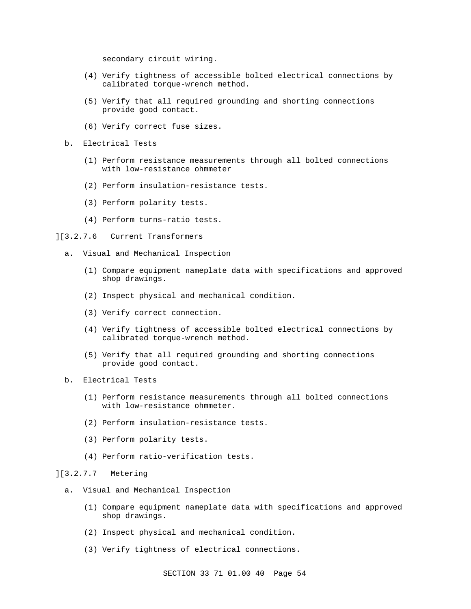secondary circuit wiring.

- (4) Verify tightness of accessible bolted electrical connections by calibrated torque-wrench method.
- (5) Verify that all required grounding and shorting connections provide good contact.
- (6) Verify correct fuse sizes.
- b. Electrical Tests
	- (1) Perform resistance measurements through all bolted connections with low-resistance ohmmeter
	- (2) Perform insulation-resistance tests.
	- (3) Perform polarity tests.
	- (4) Perform turns-ratio tests.
- ][3.2.7.6 Current Transformers
	- a. Visual and Mechanical Inspection
		- (1) Compare equipment nameplate data with specifications and approved shop drawings.
		- (2) Inspect physical and mechanical condition.
		- (3) Verify correct connection.
		- (4) Verify tightness of accessible bolted electrical connections by calibrated torque-wrench method.
		- (5) Verify that all required grounding and shorting connections provide good contact.
	- b. Electrical Tests
		- (1) Perform resistance measurements through all bolted connections with low-resistance ohmmeter.
		- (2) Perform insulation-resistance tests.
		- (3) Perform polarity tests.
		- (4) Perform ratio-verification tests.

# ][3.2.7.7 Metering

- a. Visual and Mechanical Inspection
	- (1) Compare equipment nameplate data with specifications and approved shop drawings.
	- (2) Inspect physical and mechanical condition.
	- (3) Verify tightness of electrical connections.